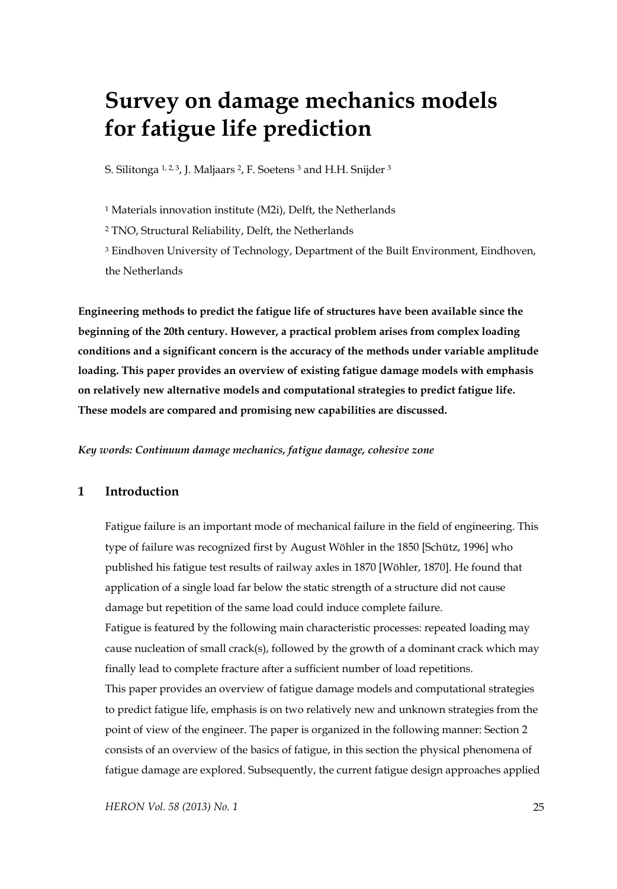# **Survey on damage mechanics models for fatigue life prediction**

S. Silitonga 1, 2, 3, J. Maljaars 2, F. Soetens 3 and H.H. Snijder 3

1 Materials innovation institute (M2i), Delft, the Netherlands

2 TNO, Structural Reliability, Delft, the Netherlands

3 Eindhoven University of Technology, Department of the Built Environment, Eindhoven, the Netherlands

**Engineering methods to predict the fatigue life of structures have been available since the beginning of the 20th century. However, a practical problem arises from complex loading conditions and a significant concern is the accuracy of the methods under variable amplitude loading. This paper provides an overview of existing fatigue damage models with emphasis on relatively new alternative models and computational strategies to predict fatigue life. These models are compared and promising new capabilities are discussed.** 

*Key words: Continuum damage mechanics, fatigue damage, cohesive zone* 

# **1 Introduction**

Fatigue failure is an important mode of mechanical failure in the field of engineering. This type of failure was recognized first by August Wöhler in the 1850 [Schütz, 1996] who published his fatigue test results of railway axles in 1870 [Wöhler, 1870]. He found that application of a single load far below the static strength of a structure did not cause damage but repetition of the same load could induce complete failure. Fatigue is featured by the following main characteristic processes: repeated loading may cause nucleation of small crack(s), followed by the growth of a dominant crack which may finally lead to complete fracture after a sufficient number of load repetitions. This paper provides an overview of fatigue damage models and computational strategies to predict fatigue life, emphasis is on two relatively new and unknown strategies from the point of view of the engineer. The paper is organized in the following manner: Section 2 consists of an overview of the basics of fatigue, in this section the physical phenomena of fatigue damage are explored. Subsequently, the current fatigue design approaches applied

*HERON Vol. 58 (2013) No. 1* 25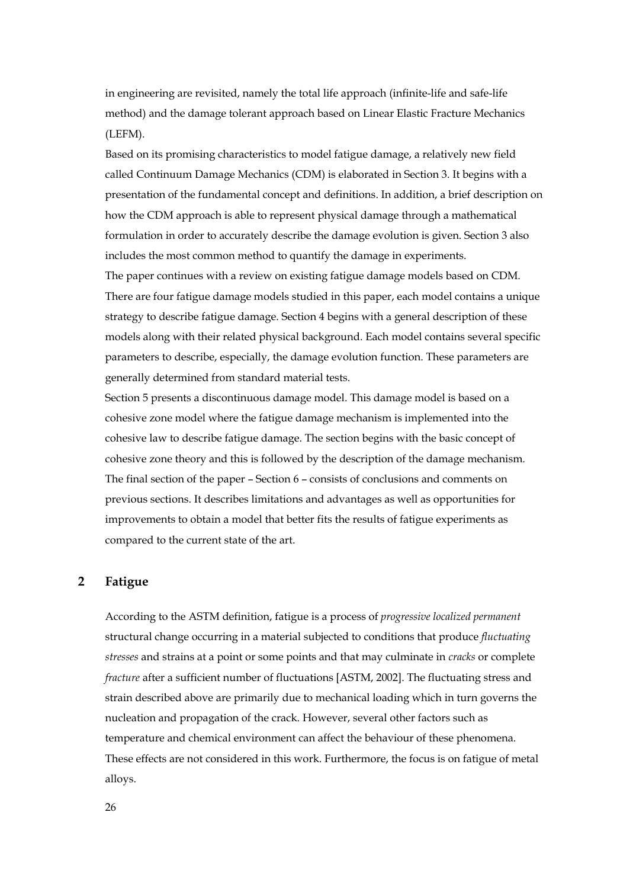in engineering are revisited, namely the total life approach (infinite-life and safe-life method) and the damage tolerant approach based on Linear Elastic Fracture Mechanics (LEFM).

Based on its promising characteristics to model fatigue damage, a relatively new field called Continuum Damage Mechanics (CDM) is elaborated in Section 3. It begins with a presentation of the fundamental concept and definitions. In addition, a brief description on how the CDM approach is able to represent physical damage through a mathematical formulation in order to accurately describe the damage evolution is given. Section 3 also includes the most common method to quantify the damage in experiments. The paper continues with a review on existing fatigue damage models based on CDM. There are four fatigue damage models studied in this paper, each model contains a unique strategy to describe fatigue damage. Section 4 begins with a general description of these

models along with their related physical background. Each model contains several specific parameters to describe, especially, the damage evolution function. These parameters are generally determined from standard material tests.

Section 5 presents a discontinuous damage model. This damage model is based on a cohesive zone model where the fatigue damage mechanism is implemented into the cohesive law to describe fatigue damage. The section begins with the basic concept of cohesive zone theory and this is followed by the description of the damage mechanism. The final section of the paper – Section 6 – consists of conclusions and comments on previous sections. It describes limitations and advantages as well as opportunities for improvements to obtain a model that better fits the results of fatigue experiments as compared to the current state of the art.

# **2 Fatigue**

According to the ASTM definition, fatigue is a process of *progressive localized permanent*  structural change occurring in a material subjected to conditions that produce *fluctuating stresses* and strains at a point or some points and that may culminate in *cracks* or complete *fracture* after a sufficient number of fluctuations [ASTM, 2002]. The fluctuating stress and strain described above are primarily due to mechanical loading which in turn governs the nucleation and propagation of the crack. However, several other factors such as temperature and chemical environment can affect the behaviour of these phenomena. These effects are not considered in this work. Furthermore, the focus is on fatigue of metal alloys.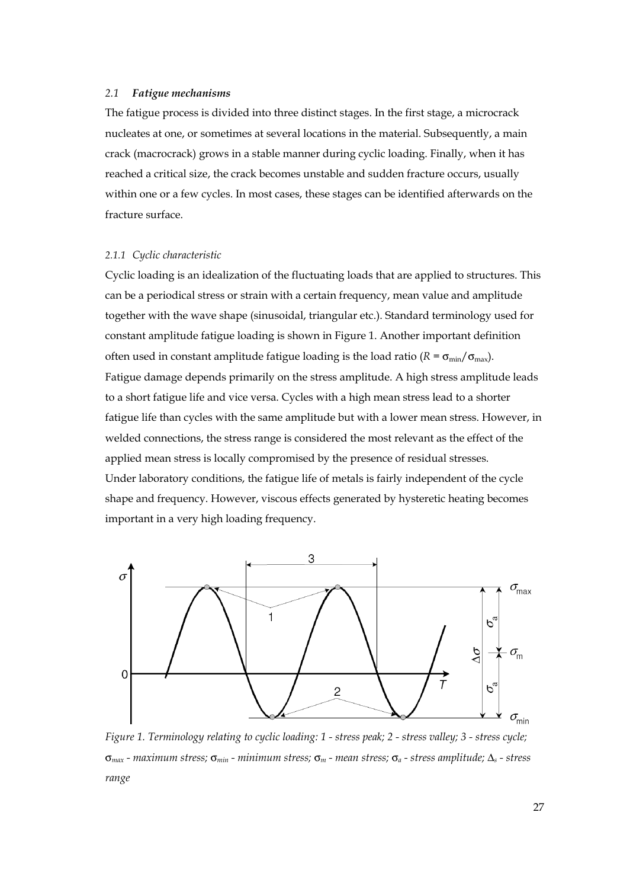## *2.1 Fatigue mechanisms*

The fatigue process is divided into three distinct stages. In the first stage, a microcrack nucleates at one, or sometimes at several locations in the material. Subsequently, a main crack (macrocrack) grows in a stable manner during cyclic loading. Finally, when it has reached a critical size, the crack becomes unstable and sudden fracture occurs, usually within one or a few cycles. In most cases, these stages can be identified afterwards on the fracture surface.

#### *2.1.1 Cyclic characteristic*

Cyclic loading is an idealization of the fluctuating loads that are applied to structures. This can be a periodical stress or strain with a certain frequency, mean value and amplitude together with the wave shape (sinusoidal, triangular etc.). Standard terminology used for constant amplitude fatigue loading is shown in Figure 1. Another important definition often used in constant amplitude fatigue loading is the load ratio  $(R = \sigma_{min}/\sigma_{max})$ . Fatigue damage depends primarily on the stress amplitude. A high stress amplitude leads to a short fatigue life and vice versa. Cycles with a high mean stress lead to a shorter fatigue life than cycles with the same amplitude but with a lower mean stress. However, in welded connections, the stress range is considered the most relevant as the effect of the applied mean stress is locally compromised by the presence of residual stresses. Under laboratory conditions, the fatigue life of metals is fairly independent of the cycle shape and frequency. However, viscous effects generated by hysteretic heating becomes important in a very high loading frequency.



*Figure 1. Terminology relating to cyclic loading: 1 - stress peak; 2 - stress valley; 3 - stress cycle;*  σ*max - maximum stress;* σ*min - minimum stress;* σ*m - mean stress;* σ*a - stress amplitude;* Δ*s - stress range*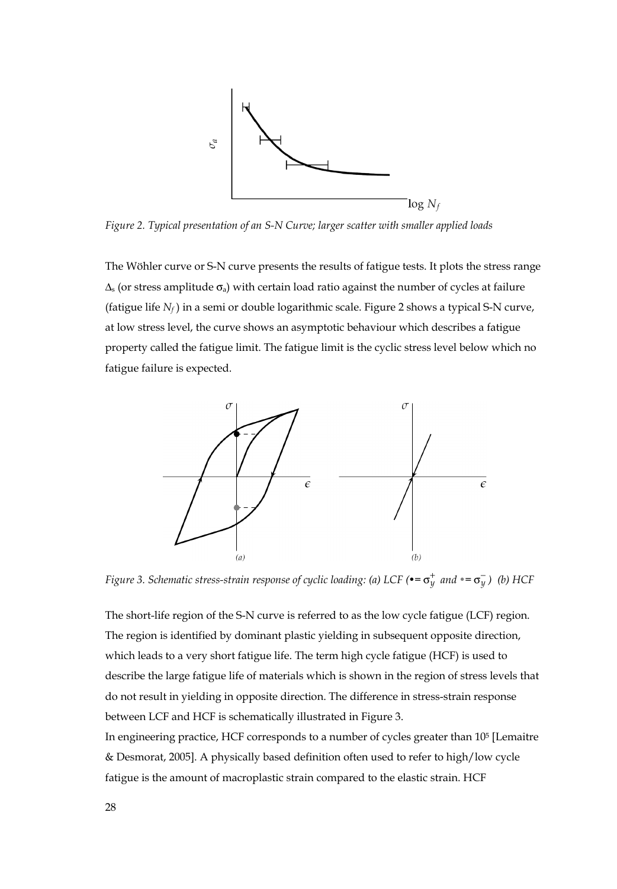

*Figure 2. Typical presentation of an S-N Curve; larger scatter with smaller applied loads* 

The Wöhler curve or S-N curve presents the results of fatigue tests. It plots the stress range  $\Delta_{\rm s}$  (or stress amplitude  $\sigma_{\rm a}$ ) with certain load ratio against the number of cycles at failure (fatigue life *Nf* ) in a semi or double logarithmic scale. Figure 2 shows a typical S-N curve, at low stress level, the curve shows an asymptotic behaviour which describes a fatigue property called the fatigue limit. The fatigue limit is the cyclic stress level below which no fatigue failure is expected.



*Figure 3. Schematic stress-strain response of cyclic loading: (a) LCF (•=* $\sigma_v^+$  *and* •= $\sigma_v^-$ *)* (b) HCF

The short-life region of the S-N curve is referred to as the low cycle fatigue (LCF) region. The region is identified by dominant plastic yielding in subsequent opposite direction, which leads to a very short fatigue life. The term high cycle fatigue (HCF) is used to describe the large fatigue life of materials which is shown in the region of stress levels that do not result in yielding in opposite direction. The difference in stress-strain response between LCF and HCF is schematically illustrated in Figure 3.

In engineering practice, HCF corresponds to a number of cycles greater than 105 [Lemaitre & Desmorat, 2005]. A physically based definition often used to refer to high/low cycle fatigue is the amount of macroplastic strain compared to the elastic strain. HCF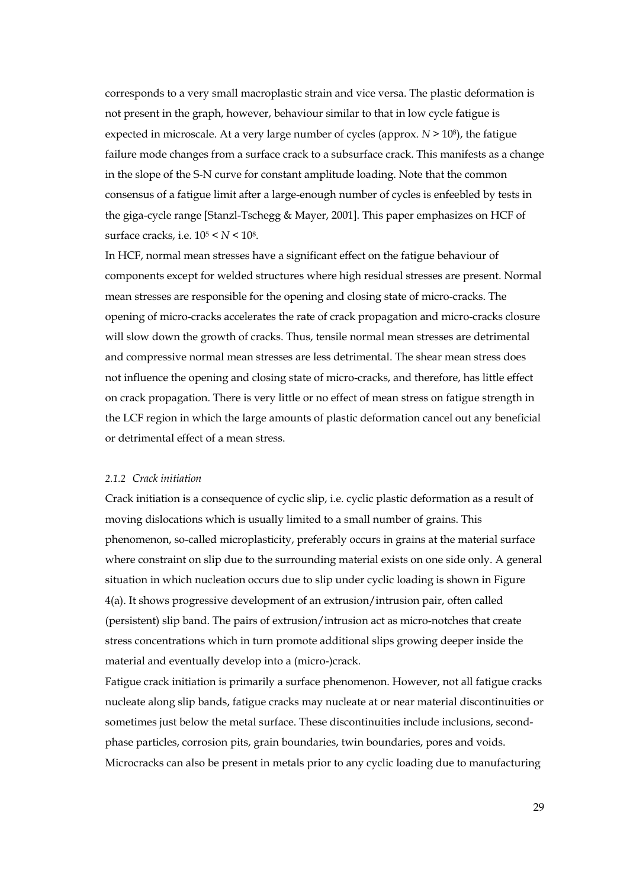corresponds to a very small macroplastic strain and vice versa. The plastic deformation is not present in the graph, however, behaviour similar to that in low cycle fatigue is expected in microscale. At a very large number of cycles (approx. *N* > 108), the fatigue failure mode changes from a surface crack to a subsurface crack. This manifests as a change in the slope of the S-N curve for constant amplitude loading. Note that the common consensus of a fatigue limit after a large-enough number of cycles is enfeebled by tests in the giga-cycle range [Stanzl-Tschegg & Mayer, 2001]. This paper emphasizes on HCF of surface cracks, i.e. 105 < *N* < 108.

In HCF, normal mean stresses have a significant effect on the fatigue behaviour of components except for welded structures where high residual stresses are present. Normal mean stresses are responsible for the opening and closing state of micro-cracks. The opening of micro-cracks accelerates the rate of crack propagation and micro-cracks closure will slow down the growth of cracks. Thus, tensile normal mean stresses are detrimental and compressive normal mean stresses are less detrimental. The shear mean stress does not influence the opening and closing state of micro-cracks, and therefore, has little effect on crack propagation. There is very little or no effect of mean stress on fatigue strength in the LCF region in which the large amounts of plastic deformation cancel out any beneficial or detrimental effect of a mean stress.

#### *2.1.2 Crack initiation*

Crack initiation is a consequence of cyclic slip, i.e. cyclic plastic deformation as a result of moving dislocations which is usually limited to a small number of grains. This phenomenon, so-called microplasticity, preferably occurs in grains at the material surface where constraint on slip due to the surrounding material exists on one side only. A general situation in which nucleation occurs due to slip under cyclic loading is shown in Figure 4(a). It shows progressive development of an extrusion/intrusion pair, often called (persistent) slip band. The pairs of extrusion/intrusion act as micro-notches that create stress concentrations which in turn promote additional slips growing deeper inside the material and eventually develop into a (micro-)crack.

Fatigue crack initiation is primarily a surface phenomenon. However, not all fatigue cracks nucleate along slip bands, fatigue cracks may nucleate at or near material discontinuities or sometimes just below the metal surface. These discontinuities include inclusions, secondphase particles, corrosion pits, grain boundaries, twin boundaries, pores and voids. Microcracks can also be present in metals prior to any cyclic loading due to manufacturing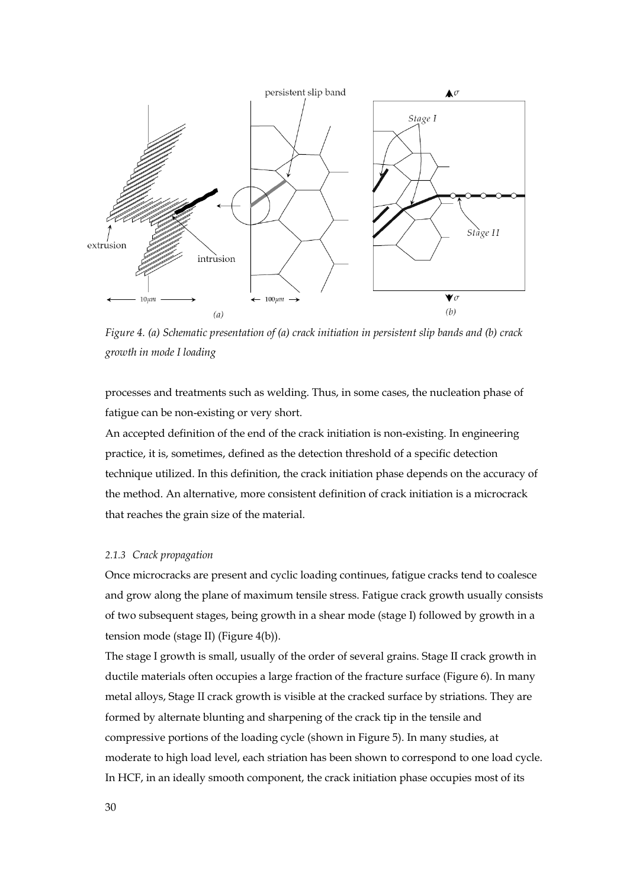

*Figure 4. (a) Schematic presentation of (a) crack initiation in persistent slip bands and (b) crack growth in mode I loading* 

processes and treatments such as welding. Thus, in some cases, the nucleation phase of fatigue can be non-existing or very short.

An accepted definition of the end of the crack initiation is non-existing. In engineering practice, it is, sometimes, defined as the detection threshold of a specific detection technique utilized. In this definition, the crack initiation phase depends on the accuracy of the method. An alternative, more consistent definition of crack initiation is a microcrack that reaches the grain size of the material.

## *2.1.3 Crack propagation*

Once microcracks are present and cyclic loading continues, fatigue cracks tend to coalesce and grow along the plane of maximum tensile stress. Fatigue crack growth usually consists of two subsequent stages, being growth in a shear mode (stage I) followed by growth in a tension mode (stage II) (Figure 4(b)).

The stage I growth is small, usually of the order of several grains. Stage II crack growth in ductile materials often occupies a large fraction of the fracture surface (Figure 6). In many metal alloys, Stage II crack growth is visible at the cracked surface by striations. They are formed by alternate blunting and sharpening of the crack tip in the tensile and compressive portions of the loading cycle (shown in Figure 5). In many studies, at moderate to high load level, each striation has been shown to correspond to one load cycle. In HCF, in an ideally smooth component, the crack initiation phase occupies most of its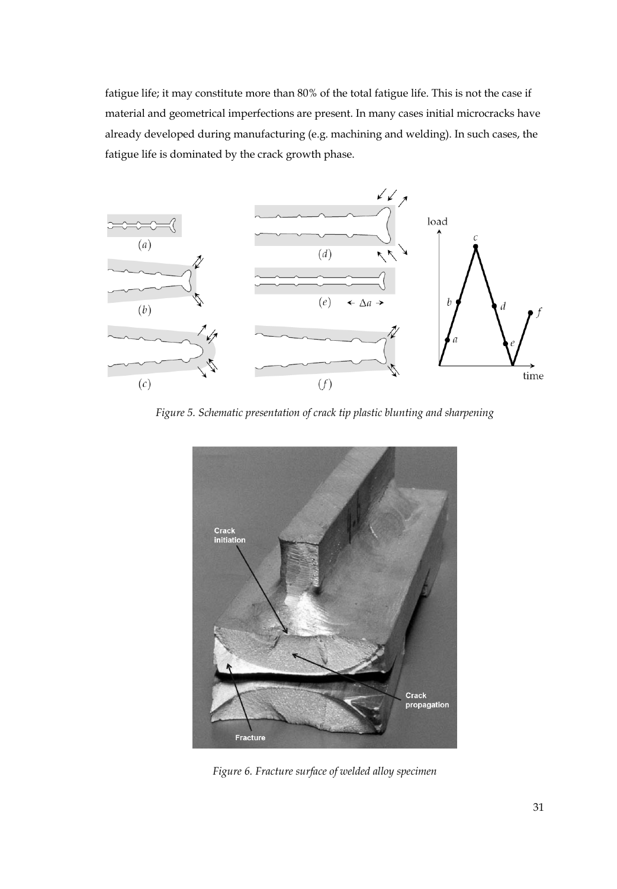fatigue life; it may constitute more than 80% of the total fatigue life. This is not the case if material and geometrical imperfections are present. In many cases initial microcracks have already developed during manufacturing (e.g. machining and welding). In such cases, the fatigue life is dominated by the crack growth phase.



*Figure 5. Schematic presentation of crack tip plastic blunting and sharpening* 



*Figure 6. Fracture surface of welded alloy specimen*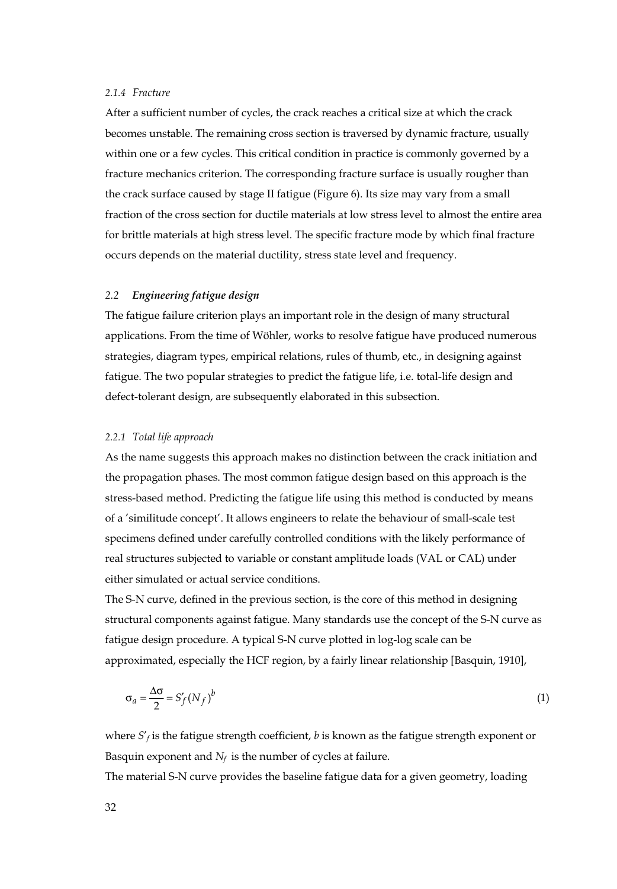# *2.1.4 Fracture*

After a sufficient number of cycles, the crack reaches a critical size at which the crack becomes unstable. The remaining cross section is traversed by dynamic fracture, usually within one or a few cycles. This critical condition in practice is commonly governed by a fracture mechanics criterion. The corresponding fracture surface is usually rougher than the crack surface caused by stage II fatigue (Figure 6). Its size may vary from a small fraction of the cross section for ductile materials at low stress level to almost the entire area for brittle materials at high stress level. The specific fracture mode by which final fracture occurs depends on the material ductility, stress state level and frequency.

## *2.2 Engineering fatigue design*

The fatigue failure criterion plays an important role in the design of many structural applications. From the time of Wöhler, works to resolve fatigue have produced numerous strategies, diagram types, empirical relations, rules of thumb, etc., in designing against fatigue. The two popular strategies to predict the fatigue life, i.e. total-life design and defect-tolerant design, are subsequently elaborated in this subsection.

#### *2.2.1 Total life approach*

As the name suggests this approach makes no distinction between the crack initiation and the propagation phases. The most common fatigue design based on this approach is the stress-based method. Predicting the fatigue life using this method is conducted by means of a 'similitude concept'. It allows engineers to relate the behaviour of small-scale test specimens defined under carefully controlled conditions with the likely performance of real structures subjected to variable or constant amplitude loads (VAL or CAL) under either simulated or actual service conditions.

The S-N curve, defined in the previous section, is the core of this method in designing structural components against fatigue. Many standards use the concept of the S-N curve as fatigue design procedure. A typical S-N curve plotted in log-log scale can be approximated, especially the HCF region, by a fairly linear relationship [Basquin, 1910],

$$
\sigma_a = \frac{\Delta \sigma}{2} = S_f'(N_f)^b \tag{1}
$$

where  $S'$ *f* is the fatigue strength coefficient, *b* is known as the fatigue strength exponent or Basquin exponent and  $N_f$  is the number of cycles at failure.

The material S-N curve provides the baseline fatigue data for a given geometry, loading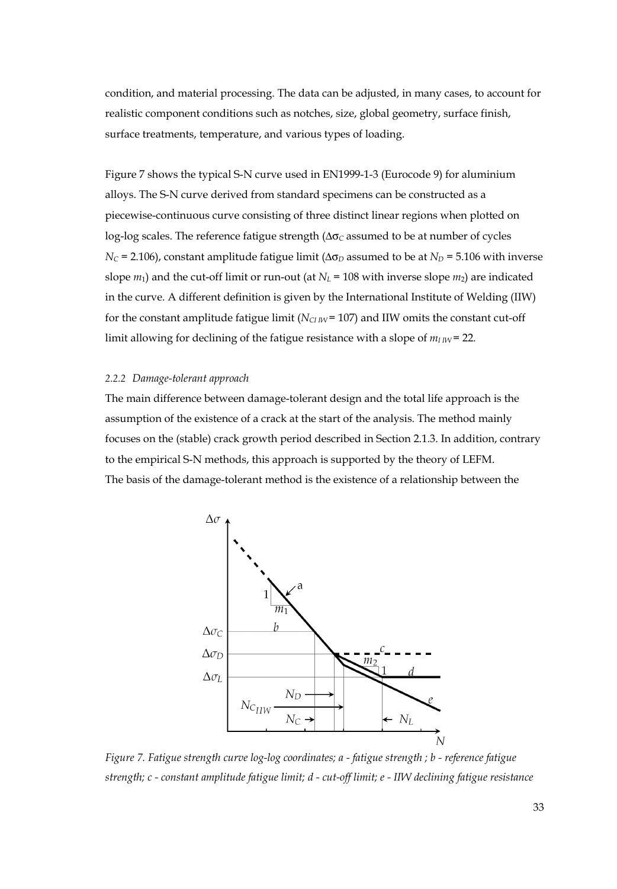condition, and material processing. The data can be adjusted, in many cases, to account for realistic component conditions such as notches, size, global geometry, surface finish, surface treatments, temperature, and various types of loading.

Figure 7 shows the typical S-N curve used in EN1999-1-3 (Eurocode 9) for aluminium alloys. The S-N curve derived from standard specimens can be constructed as a piecewise-continuous curve consisting of three distinct linear regions when plotted on log-log scales. The reference fatigue strength (Δσ<sub>*C*</sub> assumed to be at number of cycles  $N_c$  = 2.106), constant amplitude fatigue limit ( $\Delta \sigma_D$  assumed to be at  $N_D$  = 5.106 with inverse slope  $m_1$ ) and the cut-off limit or run-out (at  $N_L$  = 108 with inverse slope  $m_2$ ) are indicated in the curve. A different definition is given by the International Institute of Welding (IIW) for the constant amplitude fatigue limit  $(N_{CIW} = 107)$  and IIW omits the constant cut-off limit allowing for declining of the fatigue resistance with a slope of  $m_{I\,I\!W}$  = 22.

## *2.2.2 Damage-tolerant approach*

The main difference between damage-tolerant design and the total life approach is the assumption of the existence of a crack at the start of the analysis. The method mainly focuses on the (stable) crack growth period described in Section 2.1.3. In addition, contrary to the empirical S-N methods, this approach is supported by the theory of LEFM. The basis of the damage-tolerant method is the existence of a relationship between the



*Figure 7. Fatigue strength curve log-log coordinates; a - fatigue strength ; b - reference fatigue strength; c - constant amplitude fatigue limit; d - cut-off limit; e - IIW declining fatigue resistance*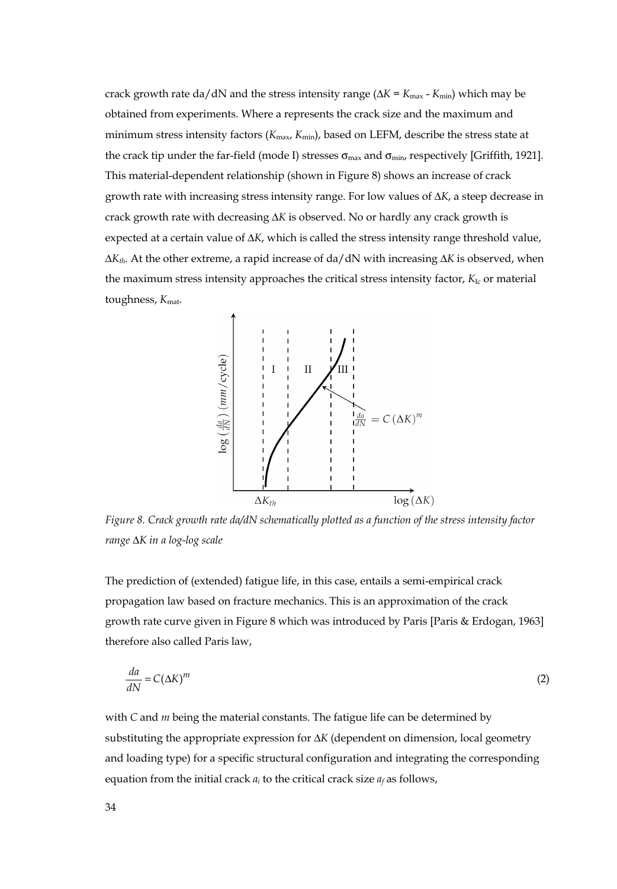crack growth rate da/dN and the stress intensity range ( $\Delta K = K_{\text{max}}$  -  $K_{\text{min}}$ ) which may be obtained from experiments. Where a represents the crack size and the maximum and minimum stress intensity factors (*K*max, *K*min), based on LEFM, describe the stress state at the crack tip under the far-field (mode I) stresses  $\sigma_{\text{max}}$  and  $\sigma_{\text{min}}$ , respectively [Griffith, 1921]. This material-dependent relationship (shown in Figure 8) shows an increase of crack growth rate with increasing stress intensity range. For low values of Δ*K*, a steep decrease in crack growth rate with decreasing Δ*K* is observed. No or hardly any crack growth is expected at a certain value of Δ*K*, which is called the stress intensity range threshold value, Δ*Kth*. At the other extreme, a rapid increase of da/dN with increasing Δ*K* is observed, when the maximum stress intensity approaches the critical stress intensity factor, *K*<sub>Ic</sub> or material toughness,  $K_{\text{mat}}$ .



*Figure 8. Crack growth rate da/dN schematically plotted as a function of the stress intensity factor range* Δ*K in a log-log scale* 

The prediction of (extended) fatigue life, in this case, entails a semi-empirical crack propagation law based on fracture mechanics. This is an approximation of the crack growth rate curve given in Figure 8 which was introduced by Paris [Paris & Erdogan, 1963] therefore also called Paris law,

$$
\frac{da}{dN} = C(\Delta K)^m \tag{2}
$$

with *C* and *m* being the material constants. The fatigue life can be determined by substituting the appropriate expression for Δ*K* (dependent on dimension, local geometry and loading type) for a specific structural configuration and integrating the corresponding equation from the initial crack  $a_i$  to the critical crack size  $a_f$  as follows,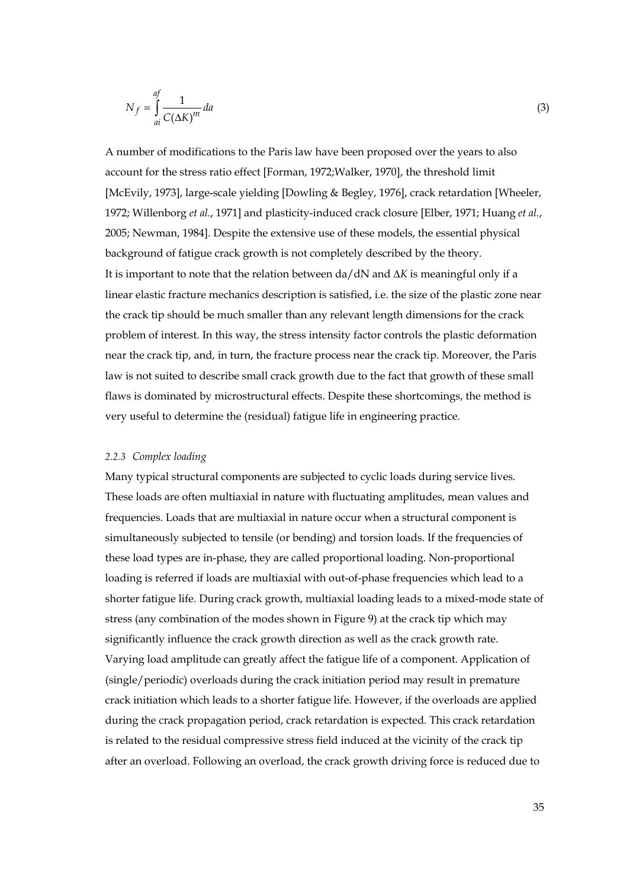$$
N_f = \int_{ai}^{af} \frac{1}{C(\Delta K)^m} da
$$
\n(3)

A number of modifications to the Paris law have been proposed over the years to also account for the stress ratio effect [Forman, 1972;Walker, 1970], the threshold limit [McEvily, 1973], large-scale yielding [Dowling & Begley, 1976], crack retardation [Wheeler, 1972; Willenborg *et al.*, 1971] and plasticity-induced crack closure [Elber, 1971; Huang *et al.*, 2005; Newman, 1984]. Despite the extensive use of these models, the essential physical background of fatigue crack growth is not completely described by the theory. It is important to note that the relation between da/dN and Δ*K* is meaningful only if a linear elastic fracture mechanics description is satisfied, i.e. the size of the plastic zone near the crack tip should be much smaller than any relevant length dimensions for the crack problem of interest. In this way, the stress intensity factor controls the plastic deformation near the crack tip, and, in turn, the fracture process near the crack tip. Moreover, the Paris law is not suited to describe small crack growth due to the fact that growth of these small flaws is dominated by microstructural effects. Despite these shortcomings, the method is very useful to determine the (residual) fatigue life in engineering practice.

#### *2.2.3 Complex loading*

Many typical structural components are subjected to cyclic loads during service lives. These loads are often multiaxial in nature with fluctuating amplitudes, mean values and frequencies. Loads that are multiaxial in nature occur when a structural component is simultaneously subjected to tensile (or bending) and torsion loads. If the frequencies of these load types are in-phase, they are called proportional loading. Non-proportional loading is referred if loads are multiaxial with out-of-phase frequencies which lead to a shorter fatigue life. During crack growth, multiaxial loading leads to a mixed-mode state of stress (any combination of the modes shown in Figure 9) at the crack tip which may significantly influence the crack growth direction as well as the crack growth rate. Varying load amplitude can greatly affect the fatigue life of a component. Application of (single/periodic) overloads during the crack initiation period may result in premature crack initiation which leads to a shorter fatigue life. However, if the overloads are applied during the crack propagation period, crack retardation is expected. This crack retardation is related to the residual compressive stress field induced at the vicinity of the crack tip after an overload. Following an overload, the crack growth driving force is reduced due to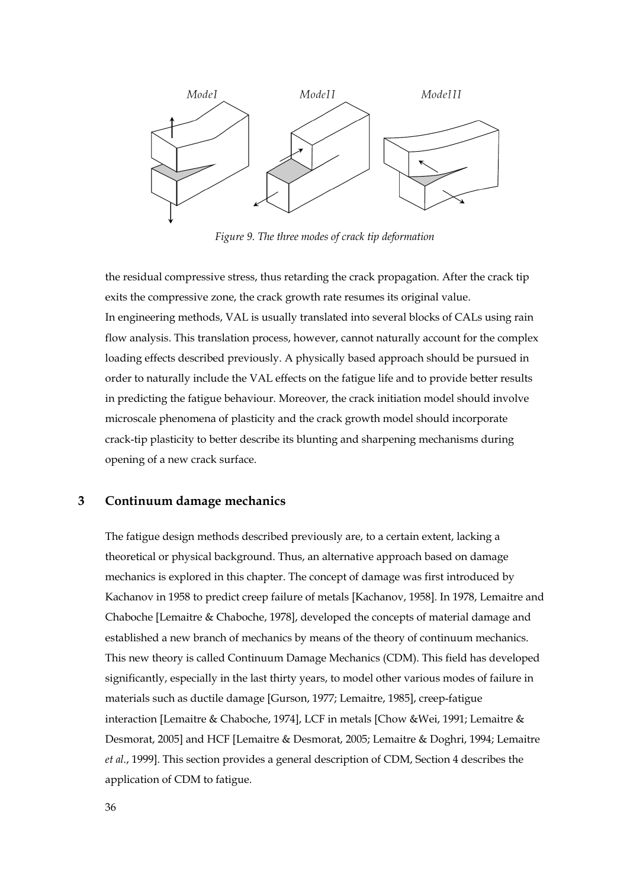

*Figure 9. The three modes of crack tip deformation* 

the residual compressive stress, thus retarding the crack propagation. After the crack tip exits the compressive zone, the crack growth rate resumes its original value. In engineering methods, VAL is usually translated into several blocks of CALs using rain flow analysis. This translation process, however, cannot naturally account for the complex loading effects described previously. A physically based approach should be pursued in order to naturally include the VAL effects on the fatigue life and to provide better results in predicting the fatigue behaviour. Moreover, the crack initiation model should involve microscale phenomena of plasticity and the crack growth model should incorporate crack-tip plasticity to better describe its blunting and sharpening mechanisms during opening of a new crack surface.

# **3 Continuum damage mechanics**

The fatigue design methods described previously are, to a certain extent, lacking a theoretical or physical background. Thus, an alternative approach based on damage mechanics is explored in this chapter. The concept of damage was first introduced by Kachanov in 1958 to predict creep failure of metals [Kachanov, 1958]. In 1978, Lemaitre and Chaboche [Lemaitre & Chaboche, 1978], developed the concepts of material damage and established a new branch of mechanics by means of the theory of continuum mechanics. This new theory is called Continuum Damage Mechanics (CDM). This field has developed significantly, especially in the last thirty years, to model other various modes of failure in materials such as ductile damage [Gurson, 1977; Lemaitre, 1985], creep-fatigue interaction [Lemaitre & Chaboche, 1974], LCF in metals [Chow &Wei, 1991; Lemaitre & Desmorat, 2005] and HCF [Lemaitre & Desmorat, 2005; Lemaitre & Doghri, 1994; Lemaitre *et al.*, 1999]. This section provides a general description of CDM, Section 4 describes the application of CDM to fatigue.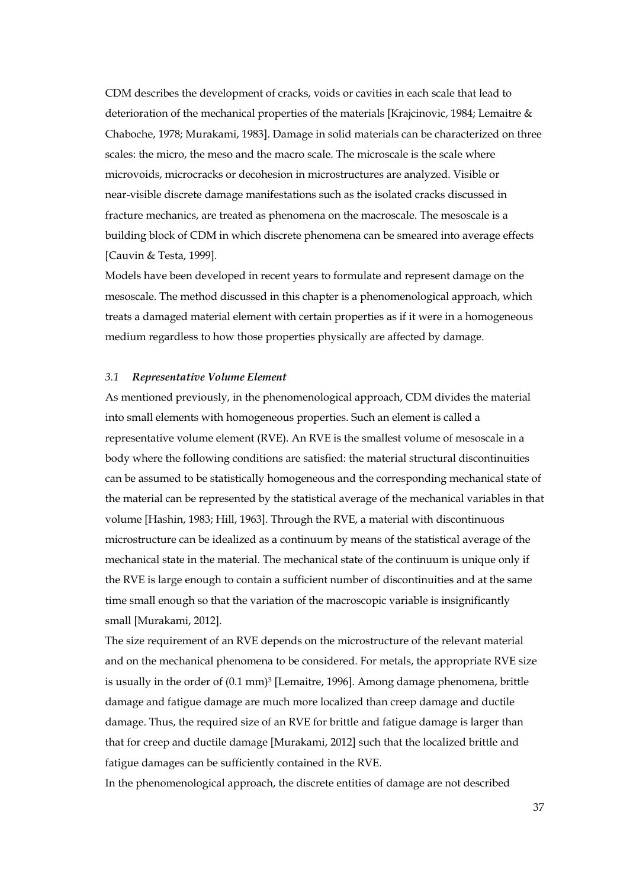CDM describes the development of cracks, voids or cavities in each scale that lead to deterioration of the mechanical properties of the materials [Krajcinovic, 1984; Lemaitre & Chaboche, 1978; Murakami, 1983]. Damage in solid materials can be characterized on three scales: the micro, the meso and the macro scale. The microscale is the scale where microvoids, microcracks or decohesion in microstructures are analyzed. Visible or near-visible discrete damage manifestations such as the isolated cracks discussed in fracture mechanics, are treated as phenomena on the macroscale. The mesoscale is a building block of CDM in which discrete phenomena can be smeared into average effects [Cauvin & Testa, 1999].

Models have been developed in recent years to formulate and represent damage on the mesoscale. The method discussed in this chapter is a phenomenological approach, which treats a damaged material element with certain properties as if it were in a homogeneous medium regardless to how those properties physically are affected by damage.

#### *3.1 Representative Volume Element*

As mentioned previously, in the phenomenological approach, CDM divides the material into small elements with homogeneous properties. Such an element is called a representative volume element (RVE). An RVE is the smallest volume of mesoscale in a body where the following conditions are satisfied: the material structural discontinuities can be assumed to be statistically homogeneous and the corresponding mechanical state of the material can be represented by the statistical average of the mechanical variables in that volume [Hashin, 1983; Hill, 1963]. Through the RVE, a material with discontinuous microstructure can be idealized as a continuum by means of the statistical average of the mechanical state in the material. The mechanical state of the continuum is unique only if the RVE is large enough to contain a sufficient number of discontinuities and at the same time small enough so that the variation of the macroscopic variable is insignificantly small [Murakami, 2012].

The size requirement of an RVE depends on the microstructure of the relevant material and on the mechanical phenomena to be considered. For metals, the appropriate RVE size is usually in the order of  $(0.1 \text{ mm})$ <sup>3</sup> [Lemaitre, 1996]. Among damage phenomena, brittle damage and fatigue damage are much more localized than creep damage and ductile damage. Thus, the required size of an RVE for brittle and fatigue damage is larger than that for creep and ductile damage [Murakami, 2012] such that the localized brittle and fatigue damages can be sufficiently contained in the RVE.

In the phenomenological approach, the discrete entities of damage are not described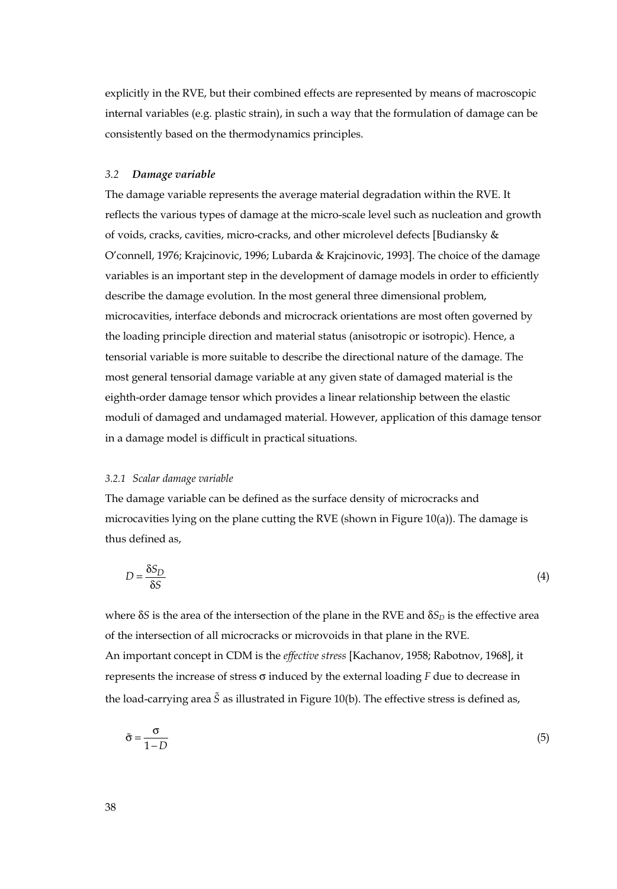explicitly in the RVE, but their combined effects are represented by means of macroscopic internal variables (e.g. plastic strain), in such a way that the formulation of damage can be consistently based on the thermodynamics principles.

#### *3.2 Damage variable*

The damage variable represents the average material degradation within the RVE. It reflects the various types of damage at the micro-scale level such as nucleation and growth of voids, cracks, cavities, micro-cracks, and other microlevel defects [Budiansky & O'connell, 1976; Krajcinovic, 1996; Lubarda & Krajcinovic, 1993]. The choice of the damage variables is an important step in the development of damage models in order to efficiently describe the damage evolution. In the most general three dimensional problem, microcavities, interface debonds and microcrack orientations are most often governed by the loading principle direction and material status (anisotropic or isotropic). Hence, a tensorial variable is more suitable to describe the directional nature of the damage. The most general tensorial damage variable at any given state of damaged material is the eighth-order damage tensor which provides a linear relationship between the elastic moduli of damaged and undamaged material. However, application of this damage tensor in a damage model is difficult in practical situations.

#### *3.2.1 Scalar damage variable*

The damage variable can be defined as the surface density of microcracks and microcavities lying on the plane cutting the RVE (shown in Figure 10(a)). The damage is thus defined as,

$$
D = \frac{\delta S_D}{\delta S} \tag{4}
$$

where  $\delta S$  is the area of the intersection of the plane in the RVE and  $\delta S_D$  is the effective area of the intersection of all microcracks or microvoids in that plane in the RVE. An important concept in CDM is the *effective stress* [Kachanov, 1958; Rabotnov, 1968], it represents the increase of stress σ induced by the external loading *F* due to decrease in the load-carrying area *S* as illustrated in Figure 10(b). The effective stress is defined as,

$$
\tilde{\sigma} = \frac{\sigma}{1 - D} \tag{5}
$$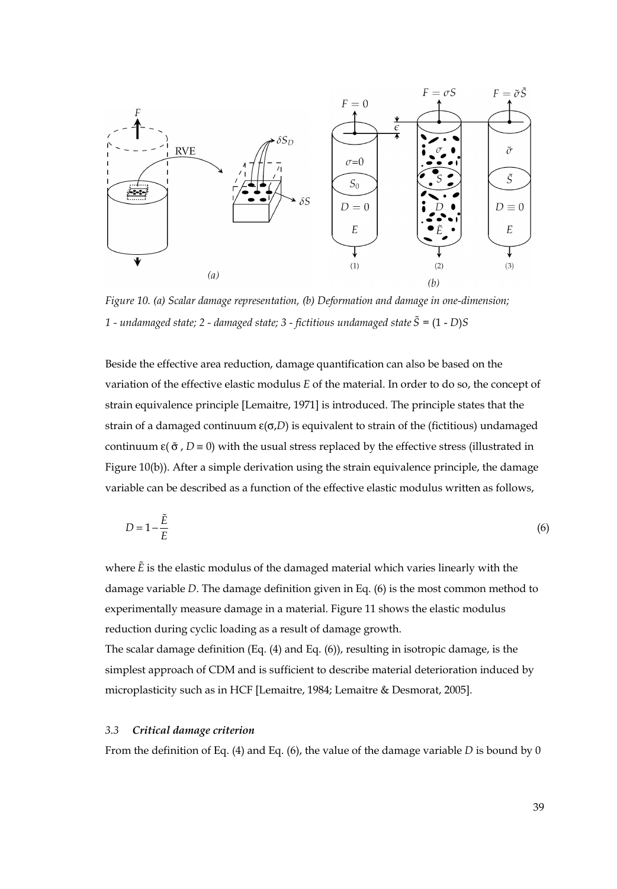

*Figure 10. (a) Scalar damage representation, (b) Deformation and damage in one-dimension; 1 - undamaged state; 2 - damaged state; 3 - fictitious undamaged state S =* (1 - *D*)*S* 

Beside the effective area reduction, damage quantification can also be based on the variation of the effective elastic modulus *E* of the material. In order to do so, the concept of strain equivalence principle [Lemaitre, 1971] is introduced. The principle states that the strain of a damaged continuum  $\varepsilon(\sigma,D)$  is equivalent to strain of the (fictitious) undamaged continuum  $\varepsilon$ ( $\tilde{\sigma}$ , *D* = 0) with the usual stress replaced by the effective stress (illustrated in Figure 10(b)). After a simple derivation using the strain equivalence principle, the damage variable can be described as a function of the effective elastic modulus written as follows,

$$
D = 1 - \frac{\tilde{E}}{E} \tag{6}
$$

where *E* is the elastic modulus of the damaged material which varies linearly with the damage variable *D*. The damage definition given in Eq. (6) is the most common method to experimentally measure damage in a material. Figure 11 shows the elastic modulus reduction during cyclic loading as a result of damage growth.

The scalar damage definition (Eq. (4) and Eq. (6)), resulting in isotropic damage, is the simplest approach of CDM and is sufficient to describe material deterioration induced by microplasticity such as in HCF [Lemaitre, 1984; Lemaitre & Desmorat, 2005].

#### *3.3 Critical damage criterion*

From the definition of Eq. (4) and Eq. (6), the value of the damage variable *D* is bound by 0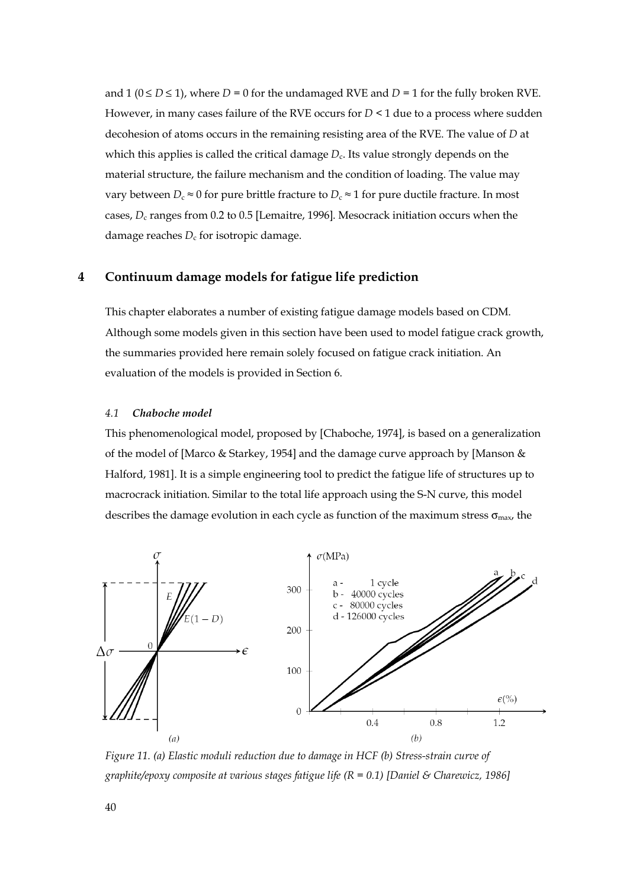and  $1$  ( $0 \le D \le 1$ ), where  $D = 0$  for the undamaged RVE and  $D = 1$  for the fully broken RVE. However, in many cases failure of the RVE occurs for  $D < 1$  due to a process where sudden decohesion of atoms occurs in the remaining resisting area of the RVE. The value of *D* at which this applies is called the critical damage  $D<sub>c</sub>$ . Its value strongly depends on the material structure, the failure mechanism and the condition of loading. The value may vary between  $D_c \approx 0$  for pure brittle fracture to  $D_c \approx 1$  for pure ductile fracture. In most cases, *D*c ranges from 0.2 to 0.5 [Lemaitre, 1996]. Mesocrack initiation occurs when the damage reaches  $D_c$  for isotropic damage.

# **4 Continuum damage models for fatigue life prediction**

This chapter elaborates a number of existing fatigue damage models based on CDM. Although some models given in this section have been used to model fatigue crack growth, the summaries provided here remain solely focused on fatigue crack initiation. An evaluation of the models is provided in Section 6.

#### *4.1 Chaboche model*

This phenomenological model, proposed by [Chaboche, 1974], is based on a generalization of the model of [Marco & Starkey, 1954] and the damage curve approach by [Manson & Halford, 1981]. It is a simple engineering tool to predict the fatigue life of structures up to macrocrack initiation. Similar to the total life approach using the S-N curve, this model describes the damage evolution in each cycle as function of the maximum stress  $\sigma_{\text{max}}$ , the



*Figure 11. (a) Elastic moduli reduction due to damage in HCF (b) Stress-strain curve of graphite/epoxy composite at various stages fatigue life (R = 0.1) [Daniel & Charewicz, 1986]*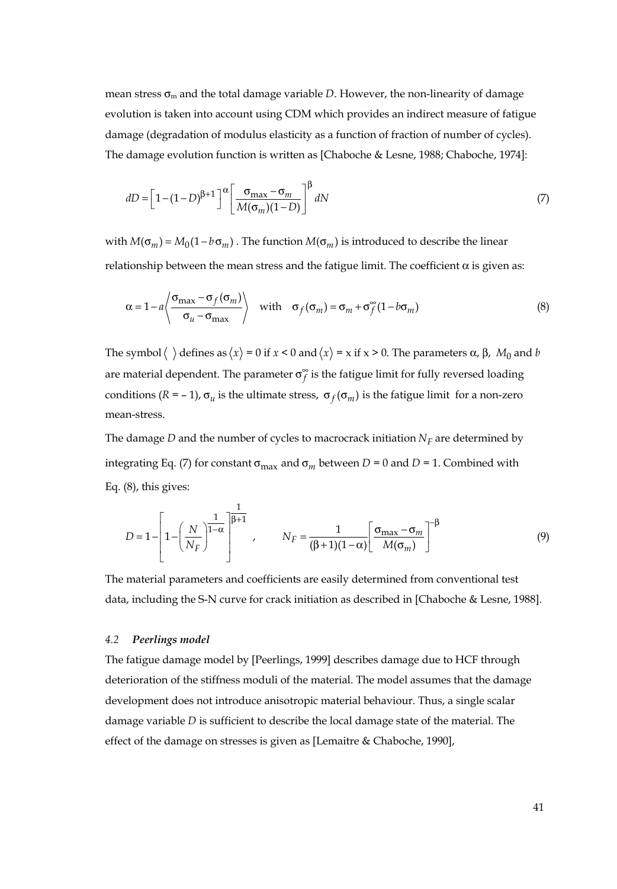mean stress  $\sigma_m$  and the total damage variable *D*. However, the non-linearity of damage evolution is taken into account using CDM which provides an indirect measure of fatigue damage (degradation of modulus elasticity as a function of fraction of number of cycles). The damage evolution function is written as [Chaboche & Lesne, 1988; Chaboche, 1974]:

$$
dD = \left[1 - (1 - D)^{\beta + 1}\right]^{\alpha} \left[\frac{\sigma_{\text{max}} - \sigma_m}{M(\sigma_m)(1 - D)}\right]^{\beta} dN \tag{7}
$$

with  $M(\sigma_m) = M_0(1 - b \sigma_m)$ . The function  $M(\sigma_m)$  is introduced to describe the linear relationship between the mean stress and the fatigue limit. The coefficient  $α$  is given as:

$$
\alpha = 1 - a \left\langle \frac{\sigma_{\max} - \sigma_f(\sigma_m)}{\sigma_u - \sigma_{\max}} \right\rangle \quad \text{with} \quad \sigma_f(\sigma_m) = \sigma_m + \sigma_f^{\infty} (1 - b \sigma_m) \tag{8}
$$

The symbol  $\langle \ \rangle$  defines as  $\langle x \rangle = 0$  if  $x < 0$  and  $\langle x \rangle = x$  if  $x > 0$ . The parameters  $\alpha$ ,  $\beta$ ,  $M_0$  and *b* are material dependent. The parameter  $\sigma_f^{\infty}$  is the fatigue limit for fully reversed loading conditions ( $R = -1$ ),  $\sigma_u$  is the ultimate stress,  $\sigma_f(\sigma_m)$  is the fatigue limit for a non-zero mean-stress.

The damage *D* and the number of cycles to macrocrack initiation  $N_F$  are determined by integrating Eq. (7) for constant  $\sigma_{\text{max}}$  and  $\sigma_m$  between *D* = 0 and *D* = 1. Combined with Eq. (8), this gives:

$$
D = 1 - \left[1 - \left(\frac{N}{N_F}\right)^{\frac{1}{1-\alpha}}\right]^{\frac{1}{\beta+1}}, \qquad N_F = \frac{1}{(\beta+1)(1-\alpha)}\left[\frac{\sigma_{\max} - \sigma_m}{M(\sigma_m)}\right]^{-\beta} \tag{9}
$$

The material parameters and coefficients are easily determined from conventional test data, including the S-N curve for crack initiation as described in [Chaboche & Lesne, 1988].

#### *4.2 Peerlings model*

The fatigue damage model by [Peerlings, 1999] describes damage due to HCF through deterioration of the stiffness moduli of the material. The model assumes that the damage development does not introduce anisotropic material behaviour. Thus, a single scalar damage variable *D* is sufficient to describe the local damage state of the material. The effect of the damage on stresses is given as [Lemaitre & Chaboche, 1990],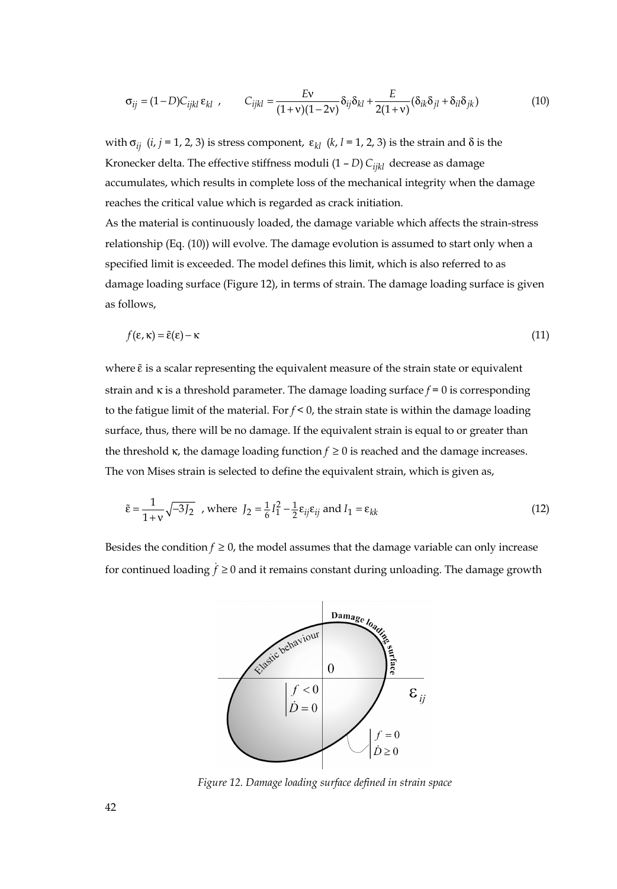$$
\sigma_{ij} = (1 - D)C_{ijkl}\,\varepsilon_{kl} \ , \qquad C_{ijkl} = \frac{Ev}{(1 + v)(1 - 2v)}\delta_{ij}\delta_{kl} + \frac{E}{2(1 + v)}(\delta_{ik}\delta_{jl} + \delta_{il}\delta_{jk}) \tag{10}
$$

with  $σ_{ij}$  (*i*, *j* = 1, 2, 3) is stress component,  $ε_{kl}$  (*k*, *l* = 1, 2, 3) is the strain and δ is the Kronecker delta. The effective stiffness moduli  $(1 - D)$   $C_{ijkl}$  decrease as damage accumulates, which results in complete loss of the mechanical integrity when the damage reaches the critical value which is regarded as crack initiation.

As the material is continuously loaded, the damage variable which affects the strain-stress relationship (Eq. (10)) will evolve. The damage evolution is assumed to start only when a specified limit is exceeded. The model defines this limit, which is also referred to as damage loading surface (Figure 12), in terms of strain. The damage loading surface is given as follows,

$$
f(\varepsilon, \kappa) = \tilde{\varepsilon}(\varepsilon) - \kappa \tag{11}
$$

where  $\tilde{\varepsilon}$  is a scalar representing the equivalent measure of the strain state or equivalent strain and κ is a threshold parameter. The damage loading surface *f* = 0 is corresponding to the fatigue limit of the material. For  $f < 0$ , the strain state is within the damage loading surface, thus, there will be no damage. If the equivalent strain is equal to or greater than the threshold  $\kappa$ , the damage loading function  $f \ge 0$  is reached and the damage increases. The von Mises strain is selected to define the equivalent strain, which is given as,

$$
\tilde{\varepsilon} = \frac{1}{1+v} \sqrt{-3J_2} \text{ , where } J_2 = \frac{1}{6} I_1^2 - \frac{1}{2} \varepsilon_{ij} \varepsilon_{ij} \text{ and } I_1 = \varepsilon_{kk}
$$
\n(12)

Besides the condition  $f \ge 0$ , the model assumes that the damage variable can only increase for continued loading  $\dot{f} \ge 0$  and it remains constant during unloading. The damage growth



*Figure 12. Damage loading surface defined in strain space*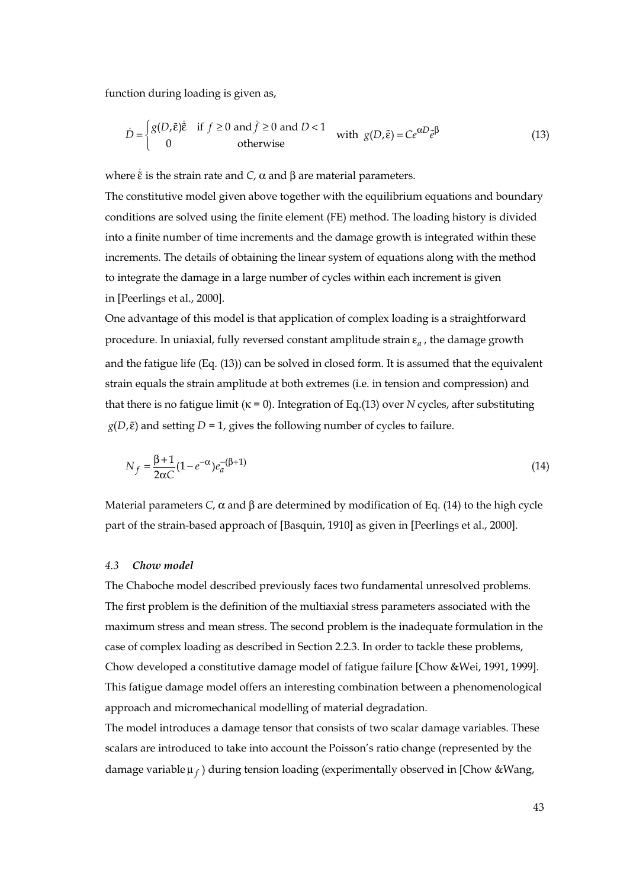function during loading is given as,

$$
\dot{D} = \begin{cases} g(D,\tilde{\varepsilon})\dot{\tilde{\varepsilon}} & \text{if } f \ge 0 \text{ and } \dot{f} \ge 0 \text{ and } D < 1 \\ 0 & \text{otherwise} \end{cases} \quad \text{with } g(D,\tilde{\varepsilon}) = Ce^{\alpha D} \tilde{e}^{\beta} \tag{13}
$$

where  $\dot{\tilde{\epsilon}}$  is the strain rate and *C*,  $\alpha$  and  $\beta$  are material parameters.

The constitutive model given above together with the equilibrium equations and boundary conditions are solved using the finite element (FE) method. The loading history is divided into a finite number of time increments and the damage growth is integrated within these increments. The details of obtaining the linear system of equations along with the method to integrate the damage in a large number of cycles within each increment is given in [Peerlings et al., 2000].

One advantage of this model is that application of complex loading is a straightforward procedure. In uniaxial, fully reversed constant amplitude strain ε*<sup>a</sup>* , the damage growth and the fatigue life (Eq. (13)) can be solved in closed form. It is assumed that the equivalent strain equals the strain amplitude at both extremes (i.e. in tension and compression) and that there is no fatigue limit (κ = 0). Integration of Eq.(13) over *N* cycles, after substituting  $g(D,\tilde{\varepsilon})$  and setting *D* = 1, gives the following number of cycles to failure.

$$
N_f = \frac{\beta + 1}{2\alpha C} (1 - e^{-\alpha}) e_a^{-(\beta + 1)}
$$
\n(14)

Material parameters *C*,  $\alpha$  and  $\beta$  are determined by modification of Eq. (14) to the high cycle part of the strain-based approach of [Basquin, 1910] as given in [Peerlings et al., 2000].

#### *4.3 Chow model*

The Chaboche model described previously faces two fundamental unresolved problems. The first problem is the definition of the multiaxial stress parameters associated with the maximum stress and mean stress. The second problem is the inadequate formulation in the case of complex loading as described in Section 2.2.3. In order to tackle these problems, Chow developed a constitutive damage model of fatigue failure [Chow &Wei, 1991, 1999]. This fatigue damage model offers an interesting combination between a phenomenological approach and micromechanical modelling of material degradation.

The model introduces a damage tensor that consists of two scalar damage variables. These scalars are introduced to take into account the Poisson's ratio change (represented by the damage variable μ *<sup>f</sup>* ) during tension loading (experimentally observed in [Chow &Wang,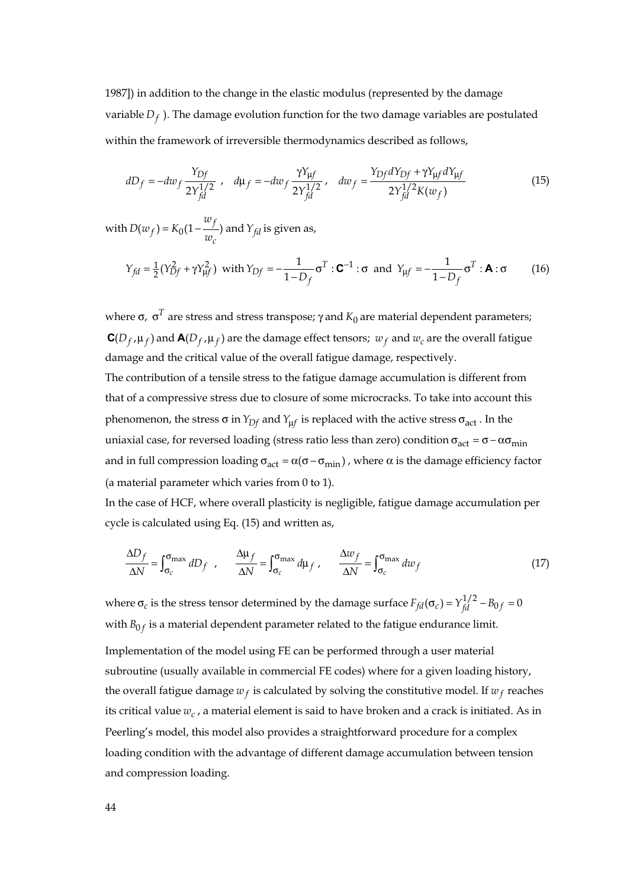1987]) in addition to the change in the elastic modulus (represented by the damage variable  $D_f$ ). The damage evolution function for the two damage variables are postulated within the framework of irreversible thermodynamics described as follows,

$$
dD_f = -dw_f \frac{Y_{Df}}{2Y_{fd}^{1/2}} , \quad d\mu_f = -dw_f \frac{\gamma Y_{\mu f}}{2Y_{fd}^{1/2}} , \quad dw_f = \frac{Y_{Df}dY_{Df} + \gamma Y_{\mu f}dY_{\mu f}}{2Y_{fd}^{1/2}K(w_f)}
$$
(15)

with  $D(w_f) = K_0 \left(1 - \frac{w_f}{w_c}\right)$  and  $Y_{fd}$  is given as,

$$
Y_{fd} = \frac{1}{2}(Y_{Df}^2 + \gamma Y_{\mu f}^2) \text{ with } Y_{Df} = -\frac{1}{1 - D_f} \sigma^T : \mathbf{C}^{-1} : \sigma \text{ and } Y_{\mu f} = -\frac{1}{1 - D_f} \sigma^T : \mathbf{A} : \sigma \qquad (16)
$$

where σ,  $σ<sup>T</sup>$  are stress and stress transpose; γ and  $K<sub>0</sub>$  are material dependent parameters;  $C(D_f, \mu_f)$  and  $A(D_f, \mu_f)$  are the damage effect tensors;  $w_f$  and  $w_c$  are the overall fatigue damage and the critical value of the overall fatigue damage, respectively. The contribution of a tensile stress to the fatigue damage accumulation is different from that of a compressive stress due to closure of some microcracks. To take into account this phenomenon, the stress σ in  $Y_{Df}$  and  $Y_{\mu f}$  is replaced with the active stress σ<sub>act</sub>. In the uniaxial case, for reversed loading (stress ratio less than zero) condition  $\sigma_{act} = \sigma - \alpha \sigma_{min}$ and in full compression loading  $\sigma_{act} = \alpha(\sigma - \sigma_{min})$ , where  $\alpha$  is the damage efficiency factor

(a material parameter which varies from 0 to 1). In the case of HCF, where overall plasticity is negligible, fatigue damage accumulation per

cycle is calculated using Eq. (15) and written as,

$$
\frac{\Delta D_f}{\Delta N} = \int_{\sigma_c}^{\sigma_{\text{max}}} dD_f , \qquad \frac{\Delta \mu_f}{\Delta N} = \int_{\sigma_c}^{\sigma_{\text{max}}} d\mu_f , \qquad \frac{\Delta w_f}{\Delta N} = \int_{\sigma_c}^{\sigma_{\text{max}}} dw_f
$$
\n(17)

where  $\sigma_c$  is the stress tensor determined by the damage surface  $F_{fd}(\sigma_c) = Y_{fd}^{1/2} - B_{0f} = 0$ with  $B_{0f}$  is a material dependent parameter related to the fatigue endurance limit.

Implementation of the model using FE can be performed through a user material subroutine (usually available in commercial FE codes) where for a given loading history, the overall fatigue damage  $w_f$  is calculated by solving the constitutive model. If  $w_f$  reaches its critical value  $w_c$ , a material element is said to have broken and a crack is initiated. As in Peerling's model, this model also provides a straightforward procedure for a complex loading condition with the advantage of different damage accumulation between tension and compression loading.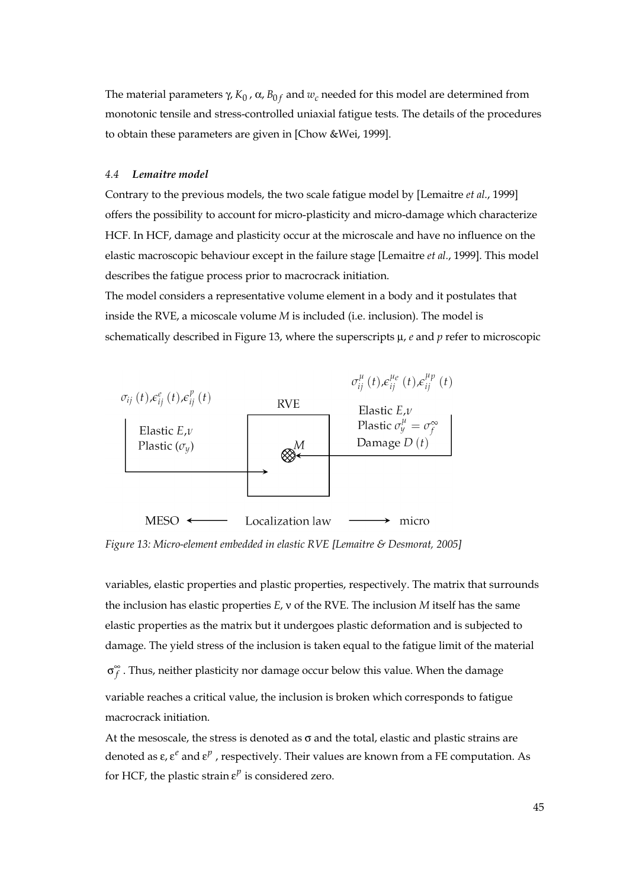The material parameters γ,  $K_0$ ,  $\alpha$ ,  $B_0$  *f* and  $w_c$  needed for this model are determined from monotonic tensile and stress-controlled uniaxial fatigue tests. The details of the procedures to obtain these parameters are given in [Chow &Wei, 1999].

#### *4.4 Lemaitre model*

Contrary to the previous models, the two scale fatigue model by [Lemaitre *et al*., 1999] offers the possibility to account for micro-plasticity and micro-damage which characterize HCF. In HCF, damage and plasticity occur at the microscale and have no influence on the elastic macroscopic behaviour except in the failure stage [Lemaitre *et al.*, 1999]. This model describes the fatigue process prior to macrocrack initiation.

The model considers a representative volume element in a body and it postulates that inside the RVE, a micoscale volume *M* is included (i.e. inclusion). The model is schematically described in Figure 13, where the superscripts μ, *e* and *p* refer to microscopic



*Figure 13: Micro-element embedded in elastic RVE [Lemaitre & Desmorat, 2005]* 

variables, elastic properties and plastic properties, respectively. The matrix that surrounds the inclusion has elastic properties *E*, ν of the RVE. The inclusion *M* itself has the same elastic properties as the matrix but it undergoes plastic deformation and is subjected to damage. The yield stress of the inclusion is taken equal to the fatigue limit of the material

∞σ *<sup>f</sup>* . Thus, neither plasticity nor damage occur below this value. When the damage

variable reaches a critical value, the inclusion is broken which corresponds to fatigue macrocrack initiation.

At the mesoscale, the stress is denoted as  $\sigma$  and the total, elastic and plastic strains are denoted as ε, ε*<sup>e</sup>* and ε*<sup>p</sup>* , respectively. Their values are known from a FE computation. As for HCF, the plastic strain  $\varepsilon^p$  is considered zero.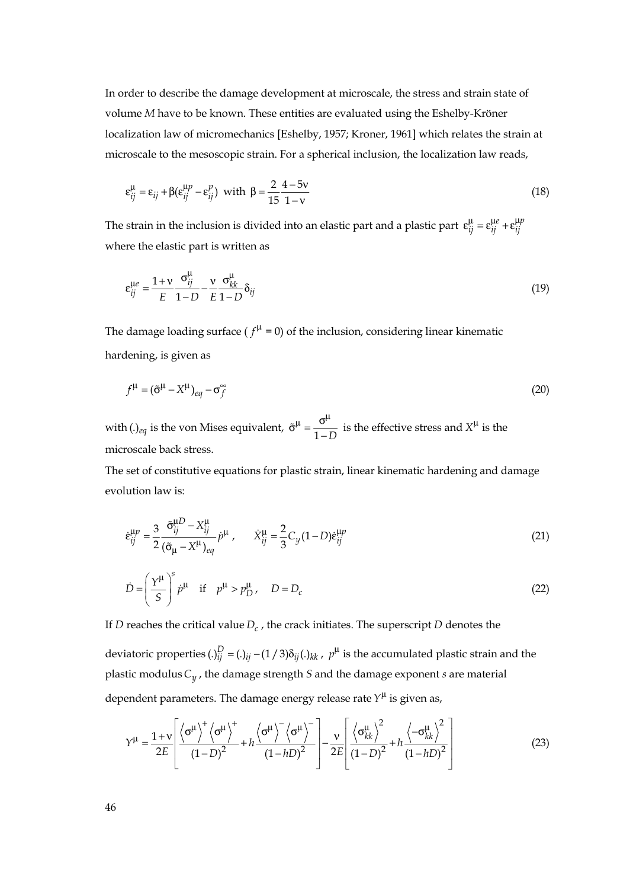In order to describe the damage development at microscale, the stress and strain state of volume *M* have to be known. These entities are evaluated using the Eshelby-Kröner localization law of micromechanics [Eshelby, 1957; Kroner, 1961] which relates the strain at microscale to the mesoscopic strain. For a spherical inclusion, the localization law reads,

$$
\varepsilon_{ij}^{\mu} = \varepsilon_{ij} + \beta(\varepsilon_{ij}^{\mu p} - \varepsilon_{ij}^{p}) \text{ with } \beta = \frac{2}{15} \frac{4 - 5v}{1 - v}
$$
 (18)

The strain in the inclusion is divided into an elastic part and a plastic part  $\varepsilon_{ij}^{\mu} = \varepsilon_{ij}^{\mu e} + \varepsilon_{ij}^{\mu p}$ where the elastic part is written as

$$
\varepsilon_{ij}^{\mu e} = \frac{1 + v}{E} \frac{\sigma_{ij}^{\mu}}{1 - D} - \frac{v}{E} \frac{\sigma_{kk}^{\mu}}{1 - D} \delta_{ij}
$$
(19)

The damage loading surface ( $f^{\mu} = 0$ ) of the inclusion, considering linear kinematic hardening, is given as

$$
f^{\mu} = (\tilde{\sigma}^{\mu} - X^{\mu})_{eq} - \sigma_f^{\infty}
$$
 (20)

with (.)*eq* is the von Mises equivalent,  $\tilde{\sigma}^{\mu} = \frac{\sigma^{\mu}}{1 - D}$  is the effective stress and  $X^{\mu}$  is the microscale back stress.

The set of constitutive equations for plastic strain, linear kinematic hardening and damage evolution law is:

$$
\dot{\varepsilon}_{ij}^{\mu p} = \frac{3}{2} \frac{\tilde{\sigma}_{ij}^{\mu D} - X_{ij}^{\mu}}{(\tilde{\sigma}_{\mu} - X^{\mu})_{eq}} \dot{p}^{\mu} , \qquad \dot{X}_{ij}^{\mu} = \frac{2}{3} C_y (1 - D) \dot{\varepsilon}_{ij}^{\mu p}
$$
(21)

$$
\dot{D} = \left(\frac{\gamma^{\mu}}{S}\right)^{s} \dot{p}^{\mu} \quad \text{if} \quad p^{\mu} > p_D^{\mu}, \quad D = D_c \tag{22}
$$

If *D* reaches the critical value  $D_c$ , the crack initiates. The superscript *D* denotes the

deviatoric properties  $(.)_{ij}^D = (.)_{ij} - (1/3) \delta_{ij}(.)_{kk}$ ,  $p^{\mu}$  is the accumulated plastic strain and the plastic modulus*Cy* , the damage strength *S* and the damage exponent *s* are material dependent parameters. The damage energy release rate  $Y^{\mu}$  is given as,

$$
Y^{\mu} = \frac{1 + v}{2E} \left[ \frac{\left\langle \sigma^{\mu} \right\rangle^{+} \left\langle \sigma^{\mu} \right\rangle^{+}}{(1 - D)^{2}} + h \frac{\left\langle \sigma^{\mu} \right\rangle^{-} \left\langle \sigma^{\mu} \right\rangle^{-}}{(1 - hD)^{2}} \right] - \frac{v}{2E} \left[ \frac{\left\langle \sigma_{kk}^{\mu} \right\rangle^{2}}{(1 - D)^{2}} + h \frac{\left\langle -\sigma_{kk}^{\mu} \right\rangle^{2}}{(1 - hD)^{2}} \right]
$$
(23)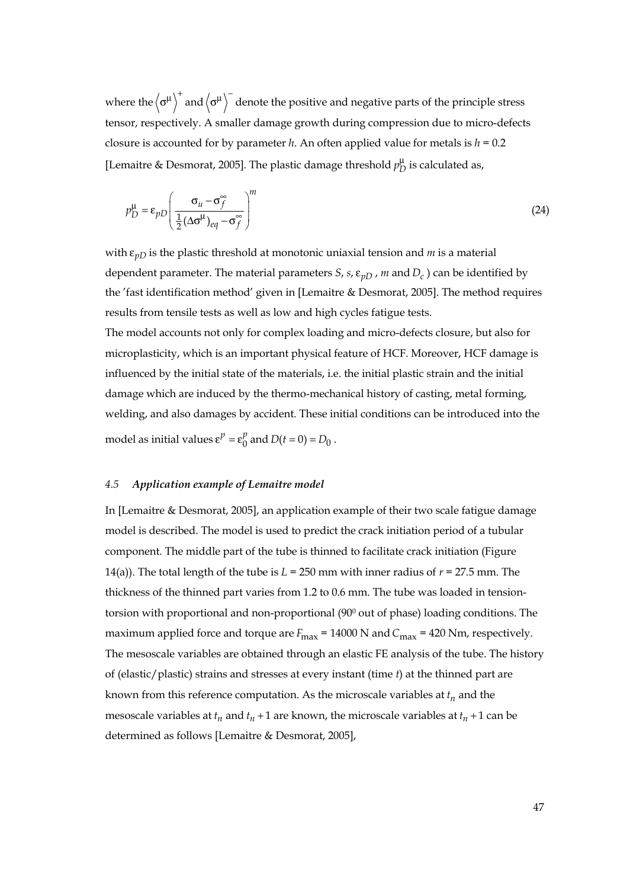where the  $\langle \sigma^{\mu} \rangle^+$  and  $\langle \sigma^{\mu} \rangle^-$  denote the positive and negative parts of the principle stress tensor, respectively. A smaller damage growth during compression due to micro-defects closure is accounted for by parameter *h*. An often applied value for metals is  $h = 0.2$ [Lemaitre & Desmorat, 2005]. The plastic damage threshold  $p_D^{\mu}$  is calculated as,

$$
p_D^{\mu} = \varepsilon_{pD} \left( \frac{\sigma_u - \sigma_f^{\infty}}{\frac{1}{2} (\Delta \sigma^{\mu})_{eq} - \sigma_f^{\infty}} \right)^m
$$
 (24)

with ε*pD* is the plastic threshold at monotonic uniaxial tension and *m* is a material dependent parameter. The material parameters *S*, *s*,  $\varepsilon$ <sub>*nD*</sub>, *m* and *D<sub>c</sub>*) can be identified by the 'fast identification method' given in [Lemaitre & Desmorat, 2005]. The method requires results from tensile tests as well as low and high cycles fatigue tests.

The model accounts not only for complex loading and micro-defects closure, but also for microplasticity, which is an important physical feature of HCF. Moreover, HCF damage is influenced by the initial state of the materials, i.e. the initial plastic strain and the initial damage which are induced by the thermo-mechanical history of casting, metal forming, welding, and also damages by accident. These initial conditions can be introduced into the model as initial values  $\epsilon^p = \epsilon_0^p$  and  $D(t = 0) = D_0$ .

#### *4.5 Application example of Lemaitre model*

In [Lemaitre & Desmorat, 2005], an application example of their two scale fatigue damage model is described. The model is used to predict the crack initiation period of a tubular component. The middle part of the tube is thinned to facilitate crack initiation (Figure 14(a)). The total length of the tube is  $L = 250$  mm with inner radius of  $r = 27.5$  mm. The thickness of the thinned part varies from 1.2 to 0.6 mm. The tube was loaded in tensiontorsion with proportional and non-proportional (900 out of phase) loading conditions. The maximum applied force and torque are  $F_{\text{max}} = 14000 \text{ N}$  and  $C_{\text{max}} = 420 \text{ N}$ m, respectively. The mesoscale variables are obtained through an elastic FE analysis of the tube. The history of (elastic/plastic) strains and stresses at every instant (time *t*) at the thinned part are known from this reference computation. As the microscale variables at  $t_n$  and the mesoscale variables at  $t_n$  and  $t_n + 1$  are known, the microscale variables at  $t_n + 1$  can be determined as follows [Lemaitre & Desmorat, 2005],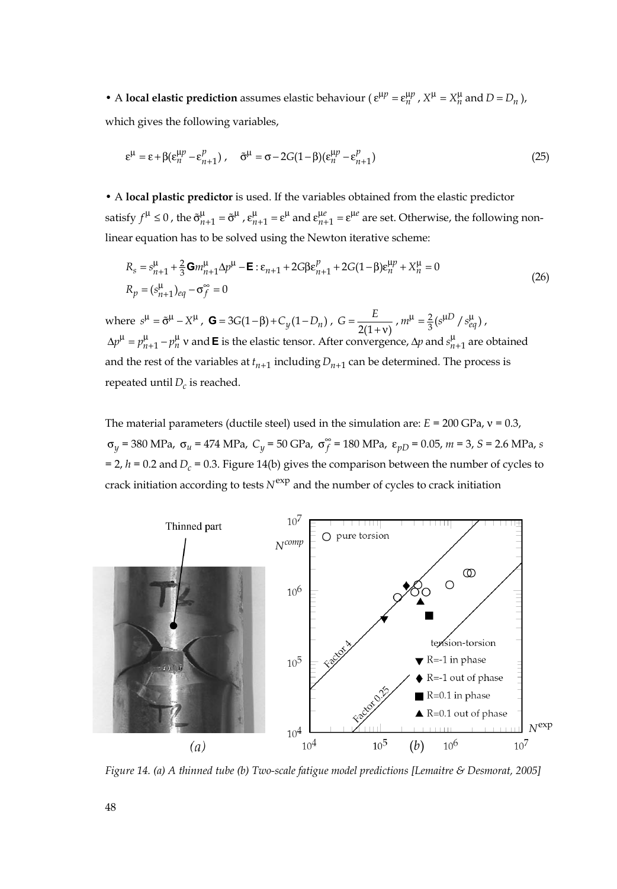• A **local elastic prediction** assumes elastic behaviour ( $\varepsilon^{\mu p} = \varepsilon_n^{\mu p}$ ,  $X^{\mu} = X_n^{\mu}$  and  $D = D_n$ ), which gives the following variables,

$$
\varepsilon^{\mu} = \varepsilon + \beta(\varepsilon_n^{\mu p} - \varepsilon_{n+1}^p), \quad \tilde{\sigma}^{\mu} = \sigma - 2G(1 - \beta)(\varepsilon_n^{\mu p} - \varepsilon_{n+1}^p)
$$
(25)

• A **local plastic predictor** is used. If the variables obtained from the elastic predictor satisfy  $f^{\mu} \le 0$  , the  $\tilde{\sigma}_{n+1}^{\mu} = \tilde{\sigma}^{\mu}$  ,  $\epsilon_{n+1}^{\mu} = \epsilon^{\mu}$  and  $\epsilon_{n+1}^{\mu e} = \epsilon^{\mu e}$  are set. Otherwise, the following nonlinear equation has to be solved using the Newton iterative scheme:

$$
R_s = s_{n+1}^{\mu} + \frac{2}{3} \mathbf{G} m_{n+1}^{\mu} \Delta p^{\mu} - \mathbf{E} : \varepsilon_{n+1} + 2 G \beta \varepsilon_{n+1}^{\mu} + 2 G (1 - \beta) \varepsilon_n^{\mu} + X_n^{\mu} = 0
$$
  
\n
$$
R_p = (s_{n+1}^{\mu})_{eq} - \sigma_f^{\infty} = 0
$$
\n(26)

where  $s^{\mu} = \tilde{\sigma}^{\mu} - X^{\mu}$ ,  $\mathbf{G} = 3G(1-\beta) + C_y(1-D_n)$ ,  $G = \frac{E}{2(1+v)}$ ,  $m^{\mu} = \frac{2}{3}(s^{\mu} + D_s^{\mu})$ ,  $\Delta p^{\mu} = p_{n+1}^{\mu} - p_n^{\mu}$  v and **E** is the elastic tensor. After convergence,  $\Delta p$  and  $s_{n+1}^{\mu}$  are obtained and the rest of the variables at  $t_{n+1}$  including  $D_{n+1}$  can be determined. The process is repeated until  $D_c$  is reached.

The material parameters (ductile steel) used in the simulation are: *E* = 200 GPa, ν = 0.3, <sup>σ</sup>*<sup>y</sup>* = 380 MPa, σ*<sup>u</sup>* = 474 MPa, *Cy* = 50 GPa, ∞σ*<sup>f</sup>* = 180 MPa, ε*pD* = 0.05, *m* = 3, *S* = 2.6 MPa, *<sup>s</sup>*  $= 2$ ,  $h = 0.2$  and  $D_c = 0.3$ . Figure 14(b) gives the comparison between the number of cycles to crack initiation according to tests  $N^{\exp}$  and the number of cycles to crack initiation



*Figure 14. (a) A thinned tube (b) Two-scale fatigue model predictions [Lemaitre & Desmorat, 2005]*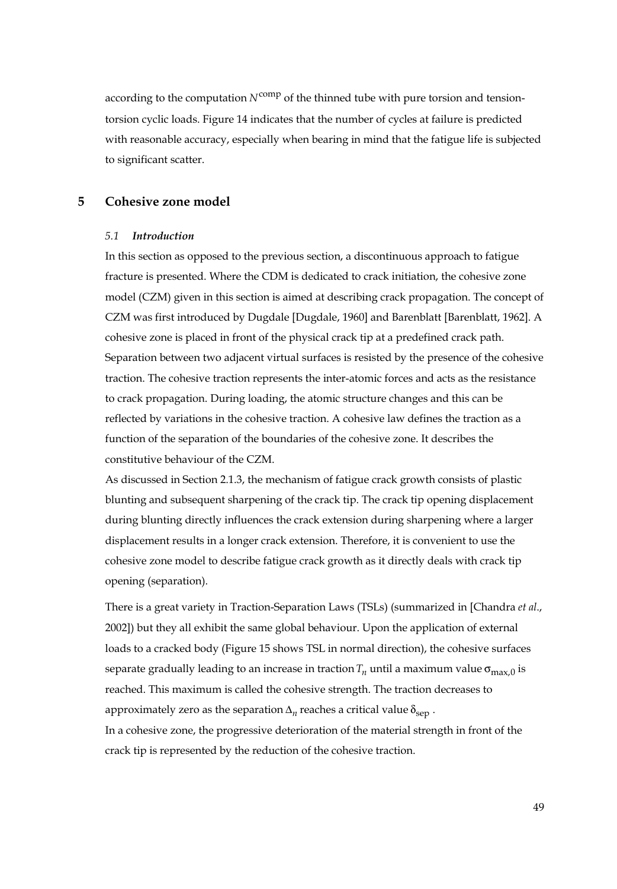according to the computation  $N^{\text{comp}}$  of the thinned tube with pure torsion and tensiontorsion cyclic loads. Figure 14 indicates that the number of cycles at failure is predicted with reasonable accuracy, especially when bearing in mind that the fatigue life is subjected to significant scatter.

# **5 Cohesive zone model**

#### *5.1 Introduction*

In this section as opposed to the previous section, a discontinuous approach to fatigue fracture is presented. Where the CDM is dedicated to crack initiation, the cohesive zone model (CZM) given in this section is aimed at describing crack propagation. The concept of CZM was first introduced by Dugdale [Dugdale, 1960] and Barenblatt [Barenblatt, 1962]. A cohesive zone is placed in front of the physical crack tip at a predefined crack path. Separation between two adjacent virtual surfaces is resisted by the presence of the cohesive traction. The cohesive traction represents the inter-atomic forces and acts as the resistance to crack propagation. During loading, the atomic structure changes and this can be reflected by variations in the cohesive traction. A cohesive law defines the traction as a function of the separation of the boundaries of the cohesive zone. It describes the constitutive behaviour of the CZM.

As discussed in Section 2.1.3, the mechanism of fatigue crack growth consists of plastic blunting and subsequent sharpening of the crack tip. The crack tip opening displacement during blunting directly influences the crack extension during sharpening where a larger displacement results in a longer crack extension. Therefore, it is convenient to use the cohesive zone model to describe fatigue crack growth as it directly deals with crack tip opening (separation).

There is a great variety in Traction-Separation Laws (TSLs) (summarized in [Chandra *et al*., 2002]) but they all exhibit the same global behaviour. Upon the application of external loads to a cracked body (Figure 15 shows TSL in normal direction), the cohesive surfaces separate gradually leading to an increase in traction  $T_n$  until a maximum value  $\sigma_{\text{max}}$  o is reached. This maximum is called the cohesive strength. The traction decreases to approximately zero as the separation  $\Delta_n$  reaches a critical value  $\delta_{\text{sen}}$ . In a cohesive zone, the progressive deterioration of the material strength in front of the crack tip is represented by the reduction of the cohesive traction.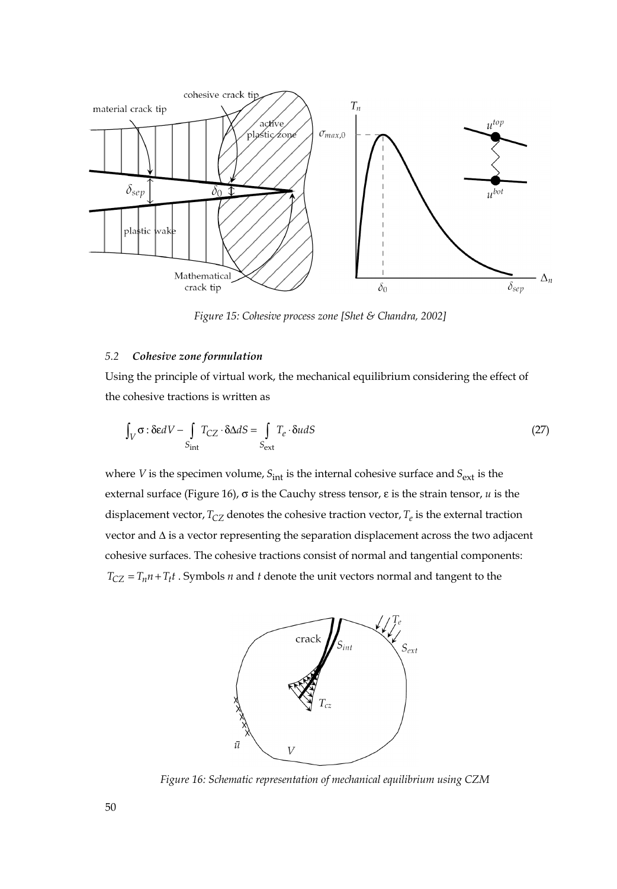

 *Figure 15: Cohesive process zone [Shet & Chandra, 2002]* 

# *5.2 Cohesive zone formulation*

Using the principle of virtual work, the mechanical equilibrium considering the effect of the cohesive tractions is written as

$$
\int_{V} \sigma : \delta \mathbf{e}dV - \int_{S_{int}} T_{CZ} \cdot \delta \Delta dS = \int_{S_{ext}} T_e \cdot \delta u dS
$$
\n(27)

where *V* is the specimen volume,  $S_{int}$  is the internal cohesive surface and  $S_{ext}$  is the external surface (Figure 16), σ is the Cauchy stress tensor, ε is the strain tensor, *u* is the displacement vector,  $T_{CZ}$  denotes the cohesive traction vector,  $T_e$  is the external traction vector and Δ is a vector representing the separation displacement across the two adjacent cohesive surfaces. The cohesive tractions consist of normal and tangential components:  $T_{CZ} = T_n n + T_t t$ . Symbols *n* and *t* denote the unit vectors normal and tangent to the



*Figure 16: Schematic representation of mechanical equilibrium using CZM*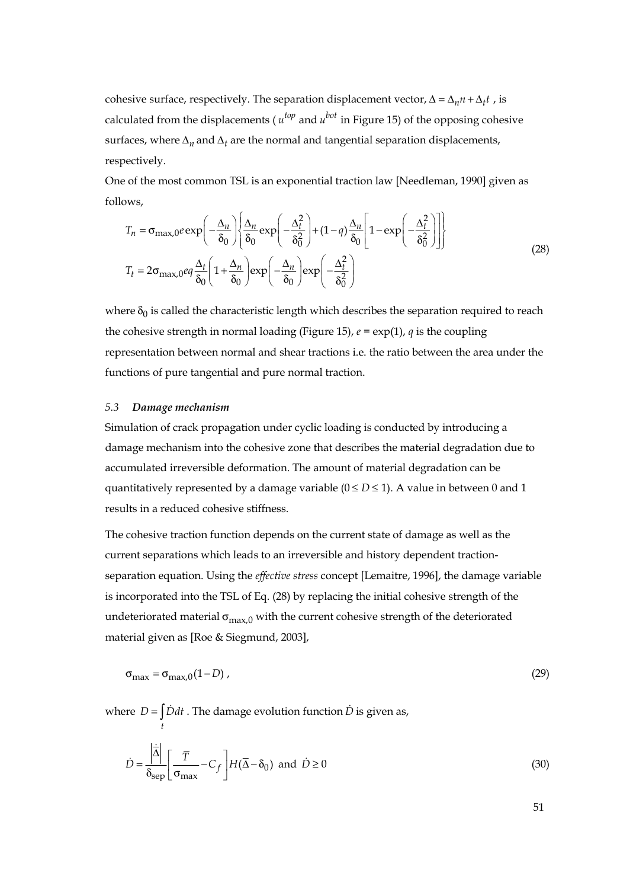cohesive surface, respectively. The separation displacement vector,  $\Delta = \Delta_n n + \Delta_t t$ , is calculated from the displacements ( $u^{top}$  and  $u^{bot}$  in Figure 15) of the opposing cohesive surfaces, where  $\Delta_n$  and  $\Delta_t$  are the normal and tangential separation displacements, respectively.

One of the most common TSL is an exponential traction law [Needleman, 1990] given as follows,

$$
T_n = \sigma_{\max,0} e \exp\left(-\frac{\Delta_n}{\delta_0}\right) \left\{ \frac{\Delta_n}{\delta_0} \exp\left(-\frac{\Delta_t^2}{\delta_0^2}\right) + (1-q)\frac{\Delta_n}{\delta_0} \left[1 - \exp\left(-\frac{\Delta_t^2}{\delta_0^2}\right)\right] \right\}
$$
  
\n
$$
T_t = 2\sigma_{\max,0} e q \frac{\Delta_t}{\delta_0} \left(1 + \frac{\Delta_n}{\delta_0}\right) \exp\left(-\frac{\Delta_n}{\delta_0}\right) \exp\left(-\frac{\Delta_t^2}{\delta_0^2}\right)
$$
\n(28)

where  $\delta_0$  is called the characteristic length which describes the separation required to reach the cohesive strength in normal loading (Figure 15),  $e = \exp(1)$ , *q* is the coupling representation between normal and shear tractions i.e. the ratio between the area under the functions of pure tangential and pure normal traction.

#### *5.3 Damage mechanism*

*t*

Simulation of crack propagation under cyclic loading is conducted by introducing a damage mechanism into the cohesive zone that describes the material degradation due to accumulated irreversible deformation. The amount of material degradation can be quantitatively represented by a damage variable  $(0 \le D \le 1)$ . A value in between 0 and 1 results in a reduced cohesive stiffness.

The cohesive traction function depends on the current state of damage as well as the current separations which leads to an irreversible and history dependent tractionseparation equation. Using the *effective stress* concept [Lemaitre, 1996], the damage variable is incorporated into the TSL of Eq. (28) by replacing the initial cohesive strength of the undeteriorated material  $\sigma_{\text{max},0}$  with the current cohesive strength of the deteriorated material given as [Roe & Siegmund, 2003],

$$
\sigma_{\text{max}} = \sigma_{\text{max},0}(1 - D) \tag{29}
$$

where  $D = \int \dot{D} dt$ . The damage evolution function  $\dot{D}$  is given as,

$$
\dot{D} = \frac{\left| \dot{\overline{\Delta}} \right|}{\delta_{\text{sep}}} \left[ \frac{\overline{T}}{\sigma_{\text{max}}} - C_f \right] H(\overline{\Delta} - \delta_0) \text{ and } \dot{D} \ge 0 \tag{30}
$$

51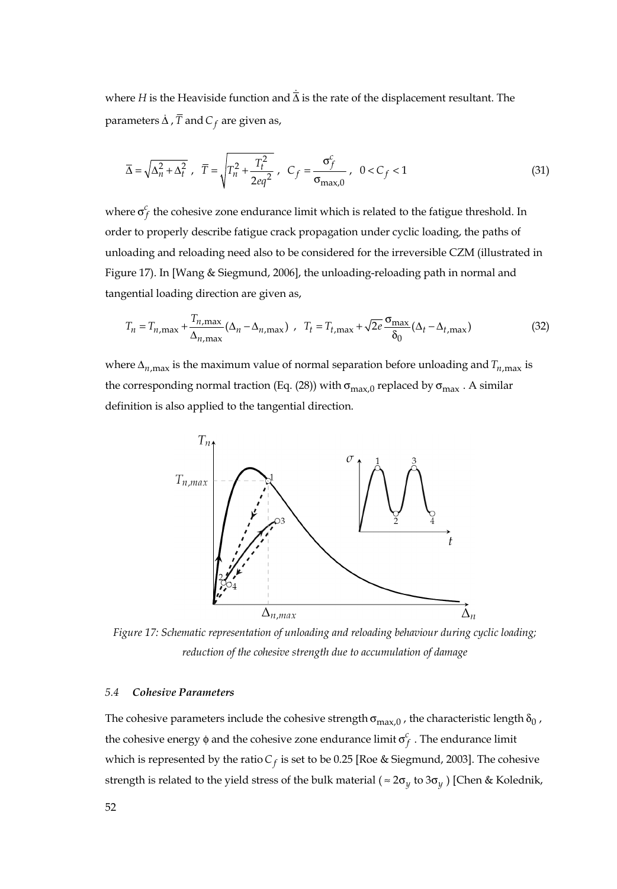where *H* is the Heaviside function and  $\dot{\overline{\Delta}}$  is the rate of the displacement resultant. The parameters  $\dot{\Delta}$  ,  $\overline{T}$  and  $C_f$  are given as,

$$
\overline{\Delta} = \sqrt{\Delta_n^2 + \Delta_t^2}, \ \ \overline{T} = \sqrt{T_n^2 + \frac{T_t^2}{2eq^2}}, \ \ C_f = \frac{\sigma_f^c}{\sigma_{\text{max},0}}, \ \ 0 < C_f < 1 \tag{31}
$$

where  $\sigma_f^c$  the cohesive zone endurance limit which is related to the fatigue threshold. In order to properly describe fatigue crack propagation under cyclic loading, the paths of unloading and reloading need also to be considered for the irreversible CZM (illustrated in Figure 17). In [Wang & Siegmund, 2006], the unloading-reloading path in normal and tangential loading direction are given as,

$$
T_n = T_{n,\max} + \frac{T_{n,\max}}{\Delta_{n,\max}} (\Delta_n - \Delta_{n,\max}) \quad T_t = T_{t,\max} + \sqrt{2e} \frac{\sigma_{\max}}{\delta_0} (\Delta_t - \Delta_{t,\max}) \tag{32}
$$

where  $\Delta_{n,\text{max}}$  is the maximum value of normal separation before unloading and  $T_{n,\text{max}}$  is the corresponding normal traction (Eq. (28)) with  $\sigma_{\text{max},0}$  replaced by  $\sigma_{\text{max}}$ . A similar definition is also applied to the tangential direction.



*Figure 17: Schematic representation of unloading and reloading behaviour during cyclic loading; reduction of the cohesive strength due to accumulation of damage* 

## *5.4 Cohesive Parameters*

The cohesive parameters include the cohesive strength  $\sigma_{\text{max},0}$  , the characteristic length  $\delta_0$  , the cohesive energy φ and the cohesive zone endurance limit σ*<sup>c</sup> <sup>f</sup>* . The endurance limit which is represented by the ratio  $C_f$  is set to be 0.25 [Roe & Siegmund, 2003]. The cohesive strength is related to the yield stress of the bulk material ( $\approx 2\sigma_y$  to  $3\sigma_y$ ) [Chen & Kolednik,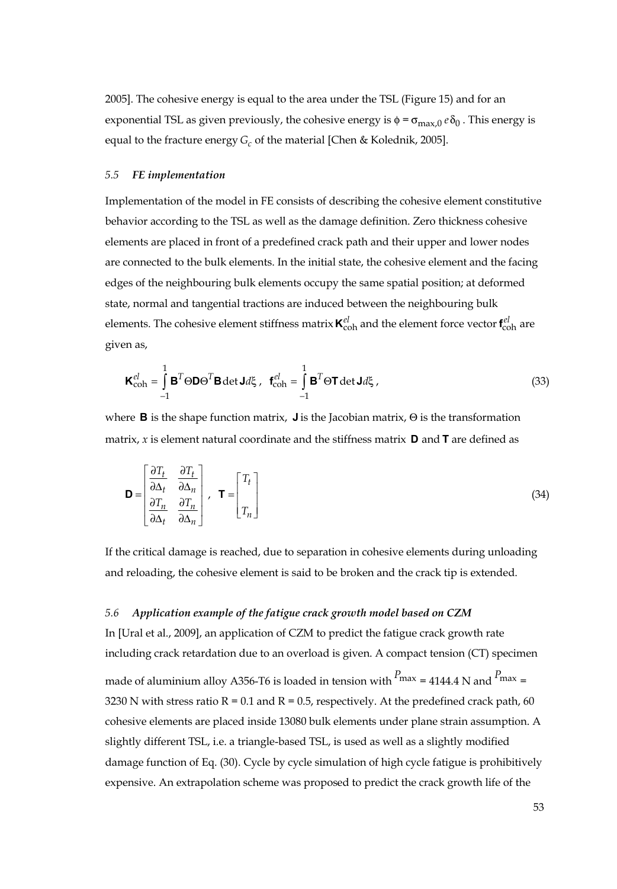2005]. The cohesive energy is equal to the area under the TSL (Figure 15) and for an exponential TSL as given previously, the cohesive energy is  $\phi = \sigma_{\text{max},0} e \delta_0$ . This energy is equal to the fracture energy *G<sub>c</sub>* of the material [Chen & Kolednik, 2005].

#### *5.5 FE implementation*

Implementation of the model in FE consists of describing the cohesive element constitutive behavior according to the TSL as well as the damage definition. Zero thickness cohesive elements are placed in front of a predefined crack path and their upper and lower nodes are connected to the bulk elements. In the initial state, the cohesive element and the facing edges of the neighbouring bulk elements occupy the same spatial position; at deformed state, normal and tangential tractions are induced between the neighbouring bulk elements. The cohesive element stiffness matrix  $\kappa_{\rm coh}^{el}$  and the element force vector  $\mathbf{f}_{\rm coh}^{el}$  are given as,

$$
\mathbf{K}_{\text{coh}}^{el} = \int_{-1}^{1} \mathbf{B}^{T} \Theta \mathbf{D} \Theta^{T} \mathbf{B} \det \mathbf{J} d\xi, \quad \mathbf{f}_{\text{coh}}^{el} = \int_{-1}^{1} \mathbf{B}^{T} \Theta \mathbf{T} \det \mathbf{J} d\xi, \tag{33}
$$

where **B** is the shape function matrix, **J** is the Jacobian matrix, Θ is the transformation matrix, *x* is element natural coordinate and the stiffness matrix **D** and **T** are defined as

$$
\mathbf{D} = \begin{bmatrix} \frac{\partial T_t}{\partial \Delta_t} & \frac{\partial T_t}{\partial \Delta_n} \\ \frac{\partial T_n}{\partial \Delta_t} & \frac{\partial T_n}{\partial \Delta_n} \end{bmatrix}, \quad \mathbf{T} = \begin{bmatrix} T_t \\ T_n \end{bmatrix} \tag{34}
$$

If the critical damage is reached, due to separation in cohesive elements during unloading and reloading, the cohesive element is said to be broken and the crack tip is extended.

## *5.6 Application example of the fatigue crack growth model based on CZM*

In [Ural et al., 2009], an application of CZM to predict the fatigue crack growth rate including crack retardation due to an overload is given. A compact tension (CT) specimen made of aluminium alloy A356-T6 is loaded in tension with *<sup>P</sup>*max = 4144.4 N and *<sup>P</sup>*max <sup>=</sup> 3230 N with stress ratio  $R = 0.1$  and  $R = 0.5$ , respectively. At the predefined crack path, 60 cohesive elements are placed inside 13080 bulk elements under plane strain assumption. A slightly different TSL, i.e. a triangle-based TSL, is used as well as a slightly modified damage function of Eq. (30). Cycle by cycle simulation of high cycle fatigue is prohibitively expensive. An extrapolation scheme was proposed to predict the crack growth life of the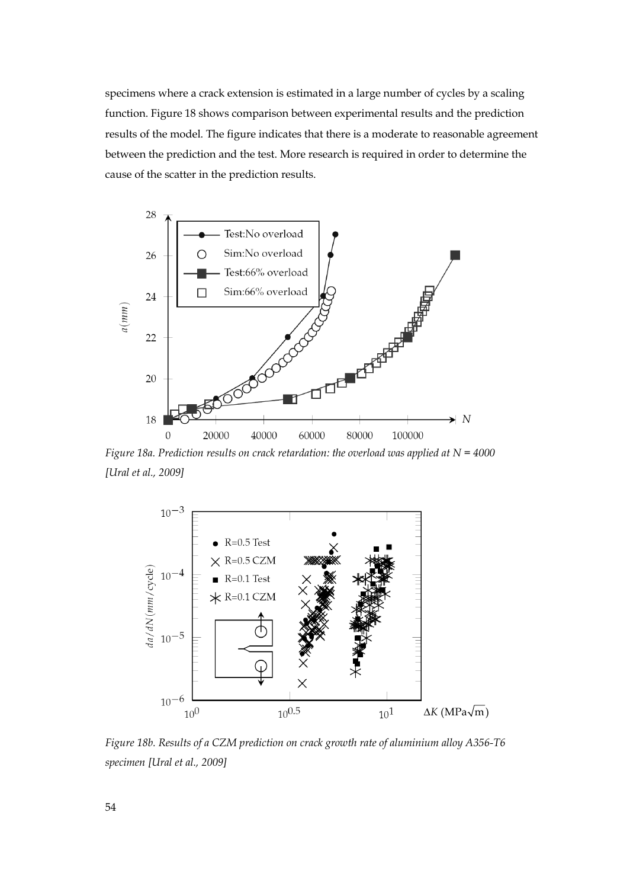specimens where a crack extension is estimated in a large number of cycles by a scaling function. Figure 18 shows comparison between experimental results and the prediction results of the model. The figure indicates that there is a moderate to reasonable agreement between the prediction and the test. More research is required in order to determine the cause of the scatter in the prediction results.



*Figure 18a. Prediction results on crack retardation: the overload was applied at N = 4000 [Ural et al., 2009]*



*Figure 18b. Results of a CZM prediction on crack growth rate of aluminium alloy A356-T6 specimen [Ural et al., 2009]*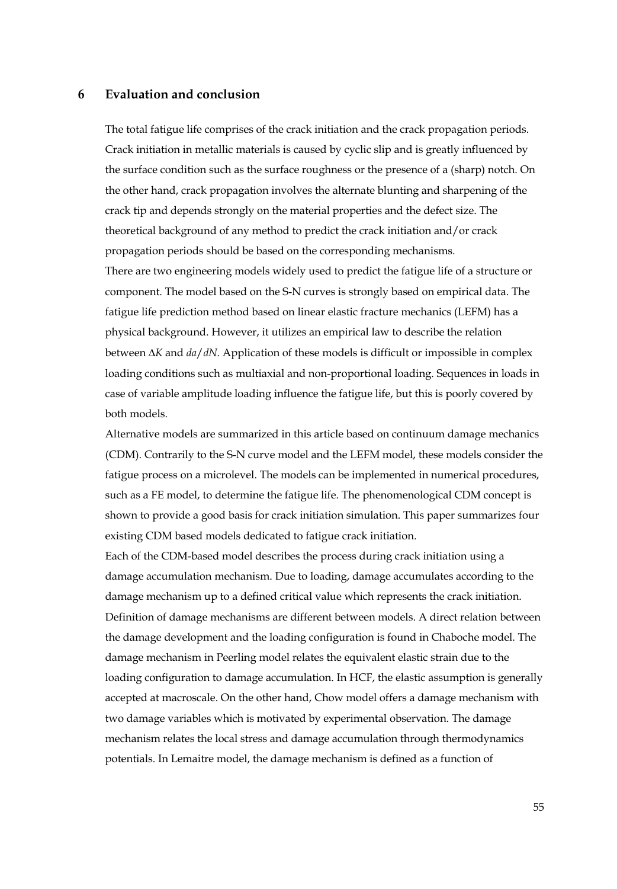## **6 Evaluation and conclusion**

The total fatigue life comprises of the crack initiation and the crack propagation periods. Crack initiation in metallic materials is caused by cyclic slip and is greatly influenced by the surface condition such as the surface roughness or the presence of a (sharp) notch. On the other hand, crack propagation involves the alternate blunting and sharpening of the crack tip and depends strongly on the material properties and the defect size. The theoretical background of any method to predict the crack initiation and/or crack propagation periods should be based on the corresponding mechanisms. There are two engineering models widely used to predict the fatigue life of a structure or component. The model based on the S-N curves is strongly based on empirical data. The fatigue life prediction method based on linear elastic fracture mechanics (LEFM) has a physical background. However, it utilizes an empirical law to describe the relation between Δ*K* and *da*/*dN*. Application of these models is difficult or impossible in complex loading conditions such as multiaxial and non-proportional loading. Sequences in loads in case of variable amplitude loading influence the fatigue life, but this is poorly covered by both models.

Alternative models are summarized in this article based on continuum damage mechanics (CDM). Contrarily to the S-N curve model and the LEFM model, these models consider the fatigue process on a microlevel. The models can be implemented in numerical procedures, such as a FE model, to determine the fatigue life. The phenomenological CDM concept is shown to provide a good basis for crack initiation simulation. This paper summarizes four existing CDM based models dedicated to fatigue crack initiation.

Each of the CDM-based model describes the process during crack initiation using a damage accumulation mechanism. Due to loading, damage accumulates according to the damage mechanism up to a defined critical value which represents the crack initiation. Definition of damage mechanisms are different between models. A direct relation between the damage development and the loading configuration is found in Chaboche model. The damage mechanism in Peerling model relates the equivalent elastic strain due to the loading configuration to damage accumulation. In HCF, the elastic assumption is generally accepted at macroscale. On the other hand, Chow model offers a damage mechanism with two damage variables which is motivated by experimental observation. The damage mechanism relates the local stress and damage accumulation through thermodynamics potentials. In Lemaitre model, the damage mechanism is defined as a function of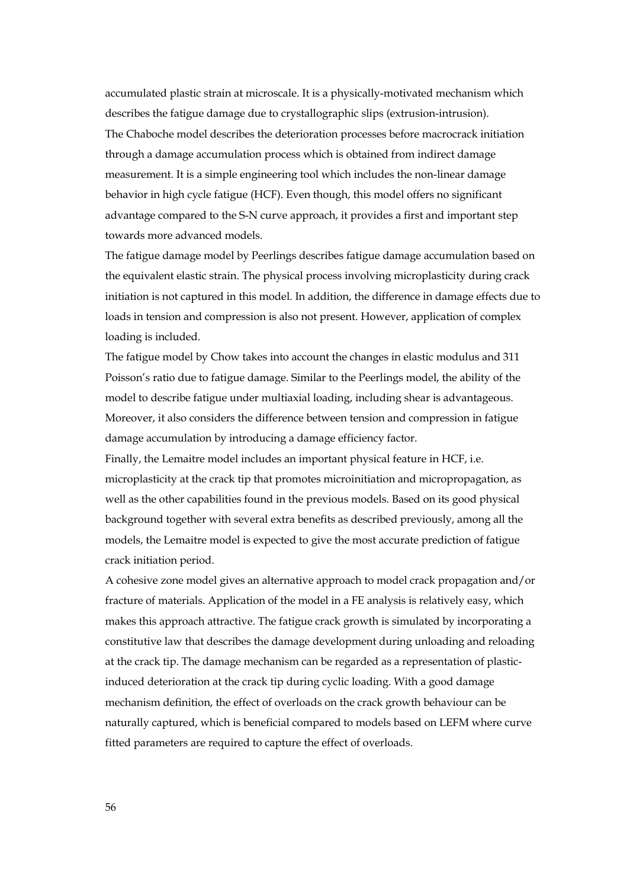accumulated plastic strain at microscale. It is a physically-motivated mechanism which describes the fatigue damage due to crystallographic slips (extrusion-intrusion). The Chaboche model describes the deterioration processes before macrocrack initiation through a damage accumulation process which is obtained from indirect damage measurement. It is a simple engineering tool which includes the non-linear damage behavior in high cycle fatigue (HCF). Even though, this model offers no significant advantage compared to the S-N curve approach, it provides a first and important step towards more advanced models.

The fatigue damage model by Peerlings describes fatigue damage accumulation based on the equivalent elastic strain. The physical process involving microplasticity during crack initiation is not captured in this model. In addition, the difference in damage effects due to loads in tension and compression is also not present. However, application of complex loading is included.

The fatigue model by Chow takes into account the changes in elastic modulus and 311 Poisson's ratio due to fatigue damage. Similar to the Peerlings model, the ability of the model to describe fatigue under multiaxial loading, including shear is advantageous. Moreover, it also considers the difference between tension and compression in fatigue damage accumulation by introducing a damage efficiency factor.

Finally, the Lemaitre model includes an important physical feature in HCF, i.e. microplasticity at the crack tip that promotes microinitiation and micropropagation, as well as the other capabilities found in the previous models. Based on its good physical background together with several extra benefits as described previously, among all the models, the Lemaitre model is expected to give the most accurate prediction of fatigue crack initiation period.

A cohesive zone model gives an alternative approach to model crack propagation and/or fracture of materials. Application of the model in a FE analysis is relatively easy, which makes this approach attractive. The fatigue crack growth is simulated by incorporating a constitutive law that describes the damage development during unloading and reloading at the crack tip. The damage mechanism can be regarded as a representation of plasticinduced deterioration at the crack tip during cyclic loading. With a good damage mechanism definition, the effect of overloads on the crack growth behaviour can be naturally captured, which is beneficial compared to models based on LEFM where curve fitted parameters are required to capture the effect of overloads.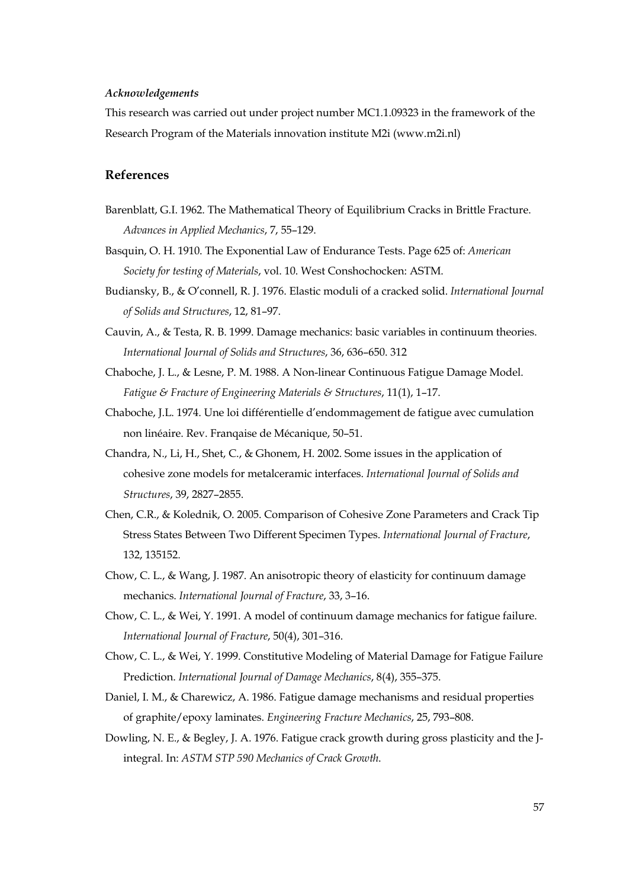## *Acknowledgements*

This research was carried out under project number MC1.1.09323 in the framework of the Research Program of the Materials innovation institute M2i (www.m2i.nl)

# **References**

- Barenblatt, G.I. 1962. The Mathematical Theory of Equilibrium Cracks in Brittle Fracture. *Advances in Applied Mechanics*, 7, 55–129.
- Basquin, O. H. 1910. The Exponential Law of Endurance Tests. Page 625 of: *American Society for testing of Materials*, vol. 10. West Conshochocken: ASTM.
- Budiansky, B., & O'connell, R. J. 1976. Elastic moduli of a cracked solid. *International Journal of Solids and Structures*, 12, 81–97.
- Cauvin, A., & Testa, R. B. 1999. Damage mechanics: basic variables in continuum theories. *International Journal of Solids and Structures*, 36, 636–650. 312
- Chaboche, J. L., & Lesne, P. M. 1988. A Non-linear Continuous Fatigue Damage Model. *Fatigue & Fracture of Engineering Materials & Structures*, 11(1), 1–17.
- Chaboche, J.L. 1974. Une loi différentielle d'endommagement de fatigue avec cumulation non linéaire. Rev. Franqaise de Mécanique, 50–51.
- Chandra, N., Li, H., Shet, C., & Ghonem, H. 2002. Some issues in the application of cohesive zone models for metalceramic interfaces. *International Journal of Solids and Structures*, 39, 2827–2855.
- Chen, C.R., & Kolednik, O. 2005. Comparison of Cohesive Zone Parameters and Crack Tip Stress States Between Two Different Specimen Types. *International Journal of Fracture*, 132, 135152.
- Chow, C. L., & Wang, J. 1987. An anisotropic theory of elasticity for continuum damage mechanics. *International Journal of Fracture*, 33, 3–16.
- Chow, C. L., & Wei, Y. 1991. A model of continuum damage mechanics for fatigue failure. *International Journal of Fracture*, 50(4), 301–316.
- Chow, C. L., & Wei, Y. 1999. Constitutive Modeling of Material Damage for Fatigue Failure Prediction. *International Journal of Damage Mechanics*, 8(4), 355–375.
- Daniel, I. M., & Charewicz, A. 1986. Fatigue damage mechanisms and residual properties of graphite/epoxy laminates. *Engineering Fracture Mechanics*, 25, 793–808.
- Dowling, N. E., & Begley, J. A. 1976. Fatigue crack growth during gross plasticity and the Jintegral. In: *ASTM STP 590 Mechanics of Crack Growth*.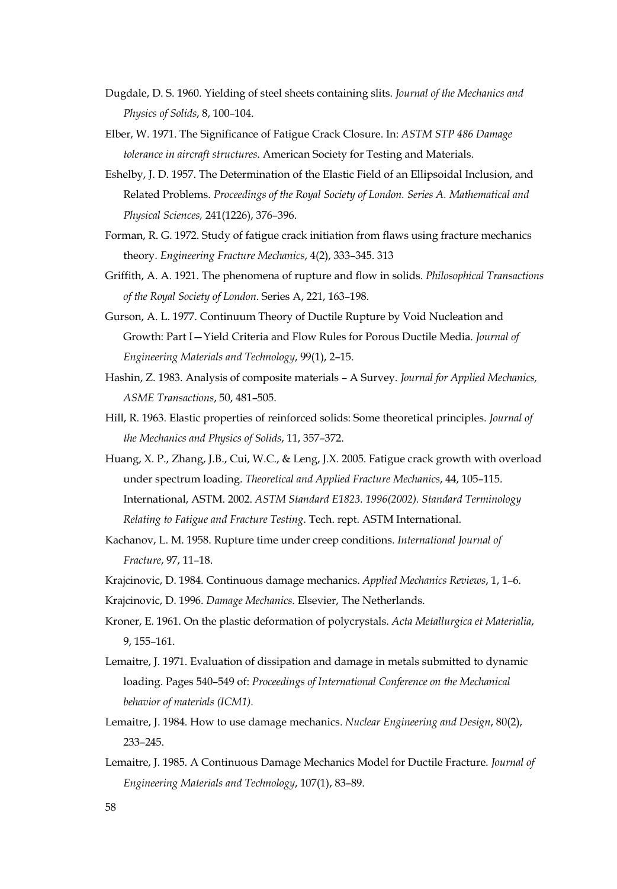- Dugdale, D. S. 1960. Yielding of steel sheets containing slits. *Journal of the Mechanics and Physics of Solids*, 8, 100–104.
- Elber, W. 1971. The Significance of Fatigue Crack Closure. In: *ASTM STP 486 Damage tolerance in aircraft structures*. American Society for Testing and Materials.
- Eshelby, J. D. 1957. The Determination of the Elastic Field of an Ellipsoidal Inclusion, and Related Problems. *Proceedings of the Royal Society of London. Series A. Mathematical and Physical Sciences,* 241(1226), 376–396.
- Forman, R. G. 1972. Study of fatigue crack initiation from flaws using fracture mechanics theory. *Engineering Fracture Mechanics*, 4(2), 333–345. 313
- Griffith, A. A. 1921. The phenomena of rupture and flow in solids. *Philosophical Transactions of the Royal Society of London*. Series A, 221, 163–198.
- Gurson, A. L. 1977. Continuum Theory of Ductile Rupture by Void Nucleation and Growth: Part I—Yield Criteria and Flow Rules for Porous Ductile Media. *Journal of Engineering Materials and Technology*, 99(1), 2–15.
- Hashin, Z. 1983. Analysis of composite materials A Survey. *Journal for Applied Mechanics, ASME Transactions*, 50, 481–505.
- Hill, R. 1963. Elastic properties of reinforced solids: Some theoretical principles. *Journal of the Mechanics and Physics of Solids*, 11, 357–372.
- Huang, X. P., Zhang, J.B., Cui, W.C., & Leng, J.X. 2005. Fatigue crack growth with overload under spectrum loading. *Theoretical and Applied Fracture Mechanics*, 44, 105–115. International, ASTM. 2002. *ASTM Standard E1823. 1996(2002). Standard Terminology Relating to Fatigue and Fracture Testing*. Tech. rept. ASTM International.
- Kachanov, L. M. 1958. Rupture time under creep conditions. *International Journal of Fracture*, 97, 11–18.
- Krajcinovic, D. 1984. Continuous damage mechanics. *Applied Mechanics Reviews*, 1, 1–6.
- Krajcinovic, D. 1996. *Damage Mechanics*. Elsevier, The Netherlands.
- Kroner, E. 1961. On the plastic deformation of polycrystals. *Acta Metallurgica et Materialia*, 9, 155–161.
- Lemaitre, J. 1971. Evaluation of dissipation and damage in metals submitted to dynamic loading. Pages 540–549 of: *Proceedings of International Conference on the Mechanical behavior of materials (ICM1).*
- Lemaitre, J. 1984. How to use damage mechanics. *Nuclear Engineering and Design*, 80(2), 233–245.
- Lemaitre, J. 1985. A Continuous Damage Mechanics Model for Ductile Fracture. *Journal of Engineering Materials and Technology*, 107(1), 83–89.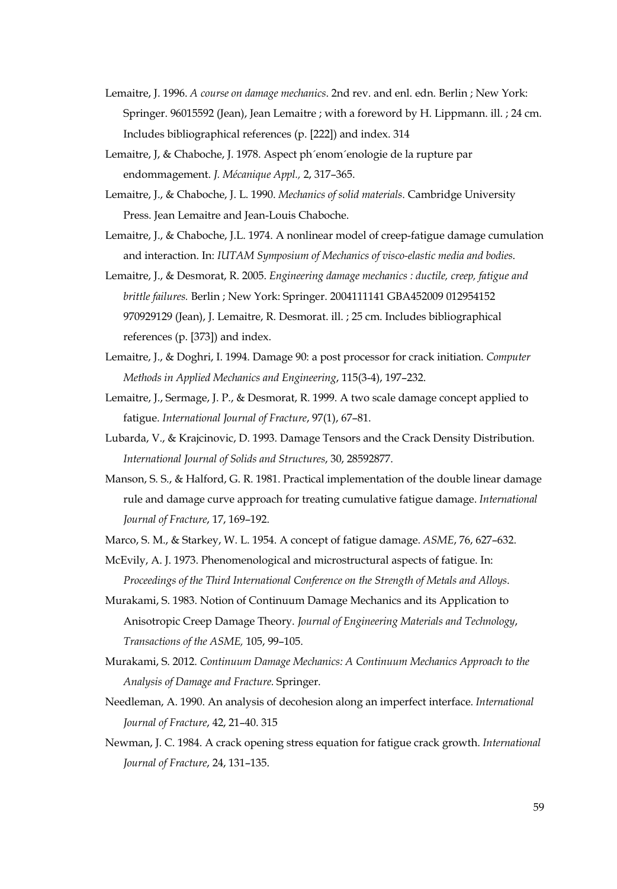- Lemaitre, J. 1996. *A course on damage mechanics*. 2nd rev. and enl. edn. Berlin ; New York: Springer. 96015592 (Jean), Jean Lemaitre ; with a foreword by H. Lippmann. ill. ; 24 cm. Includes bibliographical references (p. [222]) and index. 314
- Lemaitre, J, & Chaboche, J. 1978. Aspect ph´enom´enologie de la rupture par endommagement. *J. Mécanique Appl.,* 2, 317–365.
- Lemaitre, J., & Chaboche, J. L. 1990. *Mechanics of solid materials*. Cambridge University Press. Jean Lemaitre and Jean-Louis Chaboche.
- Lemaitre, J., & Chaboche, J.L. 1974. A nonlinear model of creep-fatigue damage cumulation and interaction. In: *IUTAM Symposium of Mechanics of visco-elastic media and bodies*.
- Lemaitre, J., & Desmorat, R. 2005. *Engineering damage mechanics : ductile, creep, fatigue and brittle failures.* Berlin ; New York: Springer. 2004111141 GBA452009 012954152 970929129 (Jean), J. Lemaitre, R. Desmorat. ill. ; 25 cm. Includes bibliographical references (p. [373]) and index.
- Lemaitre, J., & Doghri, I. 1994. Damage 90: a post processor for crack initiation. *Computer Methods in Applied Mechanics and Engineering*, 115(3-4), 197–232.
- Lemaitre, J., Sermage, J. P., & Desmorat, R. 1999. A two scale damage concept applied to fatigue. *International Journal of Fracture*, 97(1), 67–81.
- Lubarda, V., & Krajcinovic, D. 1993. Damage Tensors and the Crack Density Distribution. *International Journal of Solids and Structures*, 30, 28592877.
- Manson, S. S., & Halford, G. R. 1981. Practical implementation of the double linear damage rule and damage curve approach for treating cumulative fatigue damage. *International Journal of Fracture*, 17, 169–192.
- Marco, S. M., & Starkey, W. L. 1954. A concept of fatigue damage. *ASME*, 76, 627–632.
- McEvily, A. J. 1973. Phenomenological and microstructural aspects of fatigue. In: *Proceedings of the Third International Conference on the Strength of Metals and Alloys*.
- Murakami, S. 1983. Notion of Continuum Damage Mechanics and its Application to Anisotropic Creep Damage Theory. *Journal of Engineering Materials and Technology*, *Transactions of the ASME,* 105, 99–105.
- Murakami, S. 2012. *Continuum Damage Mechanics: A Continuum Mechanics Approach to the Analysis of Damage and Fracture.* Springer.
- Needleman, A. 1990. An analysis of decohesion along an imperfect interface. *International Journal of Fracture*, 42, 21–40. 315
- Newman, J. C. 1984. A crack opening stress equation for fatigue crack growth. *International Journal of Fracture*, 24, 131–135.